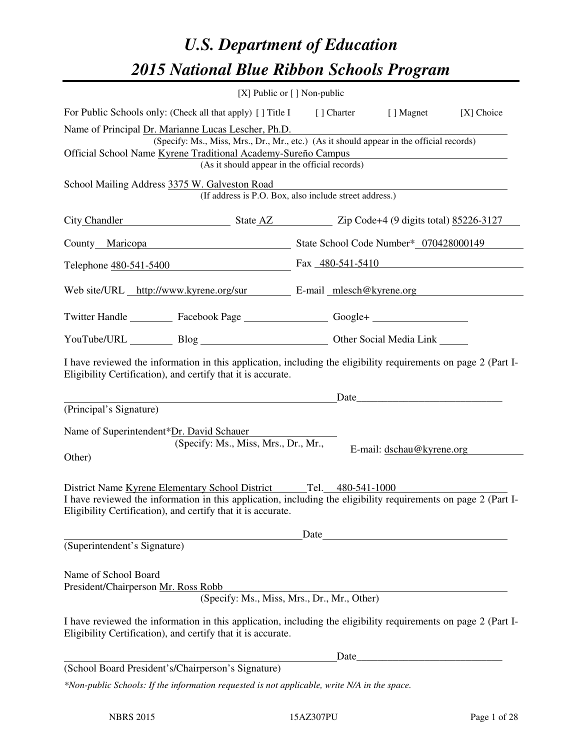# *U.S. Department of Education 2015 National Blue Ribbon Schools Program*

|                                                                                                                                                                                                                                                                   |                                                                                                                                                                                                                                                     | [X] Public or [] Non-public |                           |            |  |  |  |  |
|-------------------------------------------------------------------------------------------------------------------------------------------------------------------------------------------------------------------------------------------------------------------|-----------------------------------------------------------------------------------------------------------------------------------------------------------------------------------------------------------------------------------------------------|-----------------------------|---------------------------|------------|--|--|--|--|
|                                                                                                                                                                                                                                                                   | For Public Schools only: (Check all that apply) [] Title I [] Charter [] Magnet                                                                                                                                                                     |                             |                           | [X] Choice |  |  |  |  |
| Name of Principal Dr. Marianne Lucas Lescher, Ph.D.<br>(Specify: Ms., Miss, Mrs., Dr., Mr., etc.) (As it should appear in the official records)<br>Official School Name Kyrene Traditional Academy-Sureño Campus<br>(As it should appear in the official records) |                                                                                                                                                                                                                                                     |                             |                           |            |  |  |  |  |
|                                                                                                                                                                                                                                                                   | School Mailing Address 3375 W. Galveston Road<br>(If address is P.O. Box, also include street address.)                                                                                                                                             |                             |                           |            |  |  |  |  |
|                                                                                                                                                                                                                                                                   | City Chandler State AZ Zip Code+4 (9 digits total) 85226-3127                                                                                                                                                                                       |                             |                           |            |  |  |  |  |
|                                                                                                                                                                                                                                                                   | County Maricopa State School Code Number* 070428000149                                                                                                                                                                                              |                             |                           |            |  |  |  |  |
|                                                                                                                                                                                                                                                                   | Telephone <u>480-541-5400</u> Fax 480-541-5410                                                                                                                                                                                                      |                             |                           |            |  |  |  |  |
|                                                                                                                                                                                                                                                                   | Web site/URL http://www.kyrene.org/sur E-mail mlesch@kyrene.org                                                                                                                                                                                     |                             |                           |            |  |  |  |  |
|                                                                                                                                                                                                                                                                   | Twitter Handle ___________ Facebook Page ____________________ Google+ ___________                                                                                                                                                                   |                             |                           |            |  |  |  |  |
|                                                                                                                                                                                                                                                                   | YouTube/URL Blog Blog Discount Other Social Media Link                                                                                                                                                                                              |                             |                           |            |  |  |  |  |
|                                                                                                                                                                                                                                                                   | I have reviewed the information in this application, including the eligibility requirements on page 2 (Part I-<br>Eligibility Certification), and certify that it is accurate.                                                                      |                             |                           |            |  |  |  |  |
| (Principal's Signature)                                                                                                                                                                                                                                           | <u>Date</u>                                                                                                                                                                                                                                         |                             |                           |            |  |  |  |  |
| Name of Superintendent*Dr. David Schauer<br>Other)                                                                                                                                                                                                                | (Specify: Ms., Miss, Mrs., Dr., Mr.,                                                                                                                                                                                                                |                             | E-mail: dschau@kyrene.org |            |  |  |  |  |
|                                                                                                                                                                                                                                                                   | District Name Kyrene Elementary School District Tel. 480-541-1000<br>I have reviewed the information in this application, including the eligibility requirements on page 2 (Part I-<br>Eligibility Certification), and certify that it is accurate. |                             |                           |            |  |  |  |  |
| (Superintendent's Signature)                                                                                                                                                                                                                                      |                                                                                                                                                                                                                                                     | Date                        |                           |            |  |  |  |  |
| Name of School Board<br>President/Chairperson Mr. Ross Robb                                                                                                                                                                                                       | (Specify: Ms., Miss, Mrs., Dr., Mr., Other)                                                                                                                                                                                                         |                             |                           |            |  |  |  |  |
|                                                                                                                                                                                                                                                                   | I have reviewed the information in this application, including the eligibility requirements on page 2 (Part I-<br>Eligibility Certification), and certify that it is accurate.                                                                      |                             |                           |            |  |  |  |  |
|                                                                                                                                                                                                                                                                   |                                                                                                                                                                                                                                                     |                             |                           |            |  |  |  |  |
|                                                                                                                                                                                                                                                                   | (School Board President's/Chairperson's Signature)                                                                                                                                                                                                  |                             |                           |            |  |  |  |  |
|                                                                                                                                                                                                                                                                   | *Non-public Schools: If the information requested is not applicable, write N/A in the space.                                                                                                                                                        |                             |                           |            |  |  |  |  |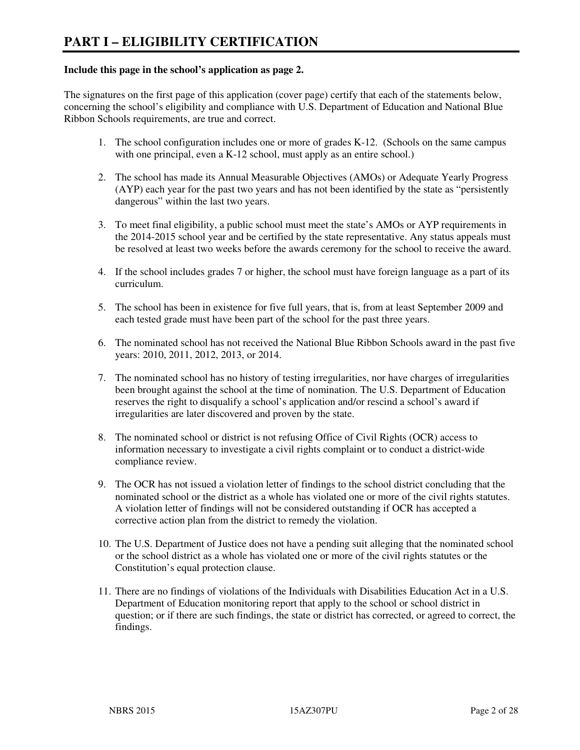#### **Include this page in the school's application as page 2.**

The signatures on the first page of this application (cover page) certify that each of the statements below, concerning the school's eligibility and compliance with U.S. Department of Education and National Blue Ribbon Schools requirements, are true and correct.

- 1. The school configuration includes one or more of grades K-12. (Schools on the same campus with one principal, even a K-12 school, must apply as an entire school.)
- 2. The school has made its Annual Measurable Objectives (AMOs) or Adequate Yearly Progress (AYP) each year for the past two years and has not been identified by the state as "persistently dangerous" within the last two years.
- 3. To meet final eligibility, a public school must meet the state's AMOs or AYP requirements in the 2014-2015 school year and be certified by the state representative. Any status appeals must be resolved at least two weeks before the awards ceremony for the school to receive the award.
- 4. If the school includes grades 7 or higher, the school must have foreign language as a part of its curriculum.
- 5. The school has been in existence for five full years, that is, from at least September 2009 and each tested grade must have been part of the school for the past three years.
- 6. The nominated school has not received the National Blue Ribbon Schools award in the past five years: 2010, 2011, 2012, 2013, or 2014.
- 7. The nominated school has no history of testing irregularities, nor have charges of irregularities been brought against the school at the time of nomination. The U.S. Department of Education reserves the right to disqualify a school's application and/or rescind a school's award if irregularities are later discovered and proven by the state.
- 8. The nominated school or district is not refusing Office of Civil Rights (OCR) access to information necessary to investigate a civil rights complaint or to conduct a district-wide compliance review.
- 9. The OCR has not issued a violation letter of findings to the school district concluding that the nominated school or the district as a whole has violated one or more of the civil rights statutes. A violation letter of findings will not be considered outstanding if OCR has accepted a corrective action plan from the district to remedy the violation.
- 10. The U.S. Department of Justice does not have a pending suit alleging that the nominated school or the school district as a whole has violated one or more of the civil rights statutes or the Constitution's equal protection clause.
- 11. There are no findings of violations of the Individuals with Disabilities Education Act in a U.S. Department of Education monitoring report that apply to the school or school district in question; or if there are such findings, the state or district has corrected, or agreed to correct, the findings.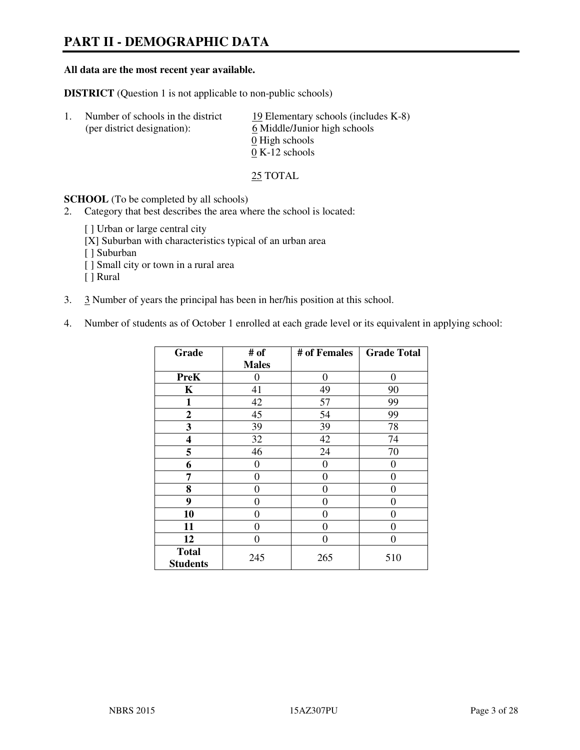# **PART II - DEMOGRAPHIC DATA**

#### **All data are the most recent year available.**

**DISTRICT** (Question 1 is not applicable to non-public schools)

| $\perp$ | Number of schools in the district<br>(per district designation): | 19 Elementary schools (includes K-8)<br>6 Middle/Junior high schools<br>0 High schools<br>$0 K-12$ schools |
|---------|------------------------------------------------------------------|------------------------------------------------------------------------------------------------------------|
|         |                                                                  |                                                                                                            |

25 TOTAL

**SCHOOL** (To be completed by all schools)

- 2. Category that best describes the area where the school is located:
	- [ ] Urban or large central city
	- [X] Suburban with characteristics typical of an urban area
	- [ ] Suburban
	- [ ] Small city or town in a rural area
	- [ ] Rural
- 3. 3 Number of years the principal has been in her/his position at this school.
- 4. Number of students as of October 1 enrolled at each grade level or its equivalent in applying school:

| Grade                           | # of         | # of Females     | <b>Grade Total</b> |
|---------------------------------|--------------|------------------|--------------------|
|                                 | <b>Males</b> |                  |                    |
| <b>PreK</b>                     | $\theta$     | $\boldsymbol{0}$ | $\theta$           |
| K                               | 41           | 49               | 90                 |
| $\mathbf{1}$                    | 42           | 57               | 99                 |
| $\boldsymbol{2}$                | 45           | 54               | 99                 |
| 3                               | 39           | 39               | 78                 |
| 4                               | 32           | 42               | 74                 |
| 5                               | 46           | 24               | 70                 |
| 6                               | 0            | $\theta$         | 0                  |
| 7                               | $\theta$     | $\overline{0}$   | 0                  |
| 8                               | 0            | 0                | 0                  |
| 9                               | $\theta$     | $\overline{0}$   | 0                  |
| 10                              | 0            | 0                | 0                  |
| 11                              | 0            | 0                | 0                  |
| 12                              | 0            | 0                | 0                  |
| <b>Total</b><br><b>Students</b> | 245          | 265              | 510                |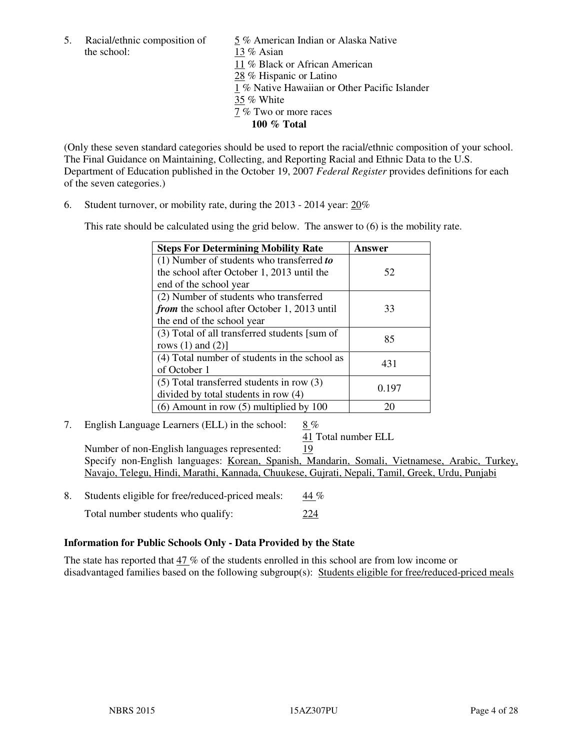5. Racial/ethnic composition of  $\frac{5}{13}$  % American Indian or Alaska Native the school:  $\frac{13}{8}$  Asian 13 % Asian 11 % Black or African American 28 % Hispanic or Latino 1 % Native Hawaiian or Other Pacific Islander 35 % White 7 % Two or more races **100 % Total** 

(Only these seven standard categories should be used to report the racial/ethnic composition of your school. The Final Guidance on Maintaining, Collecting, and Reporting Racial and Ethnic Data to the U.S. Department of Education published in the October 19, 2007 *Federal Register* provides definitions for each of the seven categories.)

6. Student turnover, or mobility rate, during the 2013 - 2014 year: 20%

This rate should be calculated using the grid below. The answer to (6) is the mobility rate.

| <b>Steps For Determining Mobility Rate</b>         | Answer |
|----------------------------------------------------|--------|
| $(1)$ Number of students who transferred to        |        |
| the school after October 1, 2013 until the         | 52     |
| end of the school year                             |        |
| (2) Number of students who transferred             |        |
| <i>from</i> the school after October 1, 2013 until | 33     |
| the end of the school year                         |        |
| (3) Total of all transferred students [sum of      | 85     |
| rows $(1)$ and $(2)$ ]                             |        |
| (4) Total number of students in the school as      | 431    |
| of October 1                                       |        |
| $(5)$ Total transferred students in row $(3)$      | 0.197  |
| divided by total students in row (4)               |        |
| $(6)$ Amount in row $(5)$ multiplied by 100        | 20     |

7. English Language Learners (ELL) in the school: 8 %

41 Total number ELL

 Number of non-English languages represented: 19 Specify non-English languages: Korean, Spanish, Mandarin, Somali, Vietnamese, Arabic, Turkey, Navajo, Telegu, Hindi, Marathi, Kannada, Chuukese, Gujrati, Nepali, Tamil, Greek, Urdu, Punjabi

- 8. Students eligible for free/reduced-priced meals: 44 %
	- Total number students who qualify: 224

#### **Information for Public Schools Only - Data Provided by the State**

The state has reported that  $47\%$  of the students enrolled in this school are from low income or disadvantaged families based on the following subgroup(s): Students eligible for free/reduced-priced meals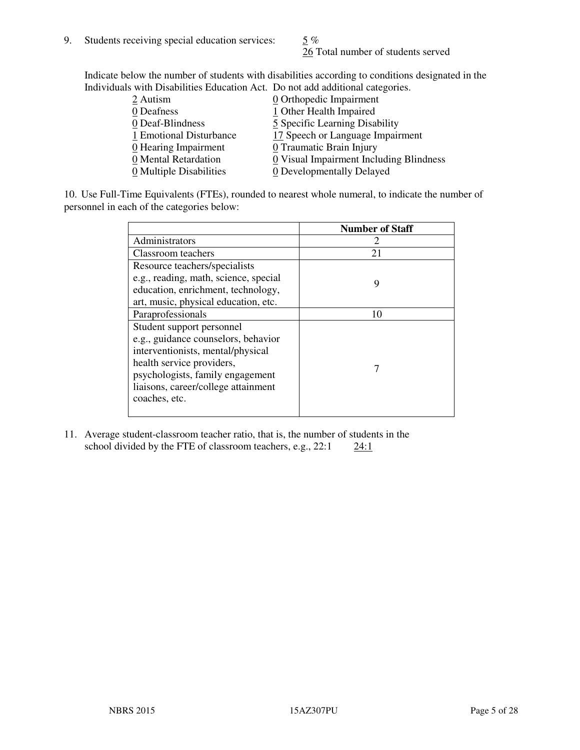26 Total number of students served

Indicate below the number of students with disabilities according to conditions designated in the Individuals with Disabilities Education Act. Do not add additional categories.

| 2 Autism                           | $Q$ Orthopedic Impairment               |
|------------------------------------|-----------------------------------------|
| 0 Deafness                         | 1 Other Health Impaired                 |
| 0 Deaf-Blindness                   | 5 Specific Learning Disability          |
| 1 Emotional Disturbance            | 17 Speech or Language Impairment        |
| $\underline{0}$ Hearing Impairment | 0 Traumatic Brain Injury                |
| 0 Mental Retardation               | 0 Visual Impairment Including Blindness |
| 0 Multiple Disabilities            | 0 Developmentally Delayed               |
|                                    |                                         |

10. Use Full-Time Equivalents (FTEs), rounded to nearest whole numeral, to indicate the number of personnel in each of the categories below:

|                                       | <b>Number of Staff</b> |
|---------------------------------------|------------------------|
| Administrators                        |                        |
| Classroom teachers                    | 21                     |
| Resource teachers/specialists         |                        |
| e.g., reading, math, science, special | 9                      |
| education, enrichment, technology,    |                        |
| art, music, physical education, etc.  |                        |
| Paraprofessionals                     | 10                     |
| Student support personnel             |                        |
| e.g., guidance counselors, behavior   |                        |
| interventionists, mental/physical     |                        |
| health service providers,             |                        |
| psychologists, family engagement      |                        |
| liaisons, career/college attainment   |                        |
| coaches, etc.                         |                        |
|                                       |                        |

11. Average student-classroom teacher ratio, that is, the number of students in the school divided by the FTE of classroom teachers, e.g.,  $22:1$   $24:1$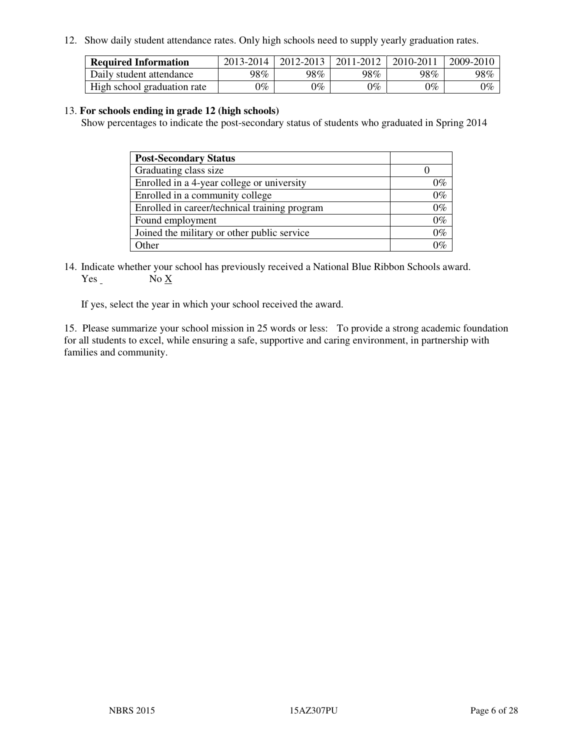12. Show daily student attendance rates. Only high schools need to supply yearly graduation rates.

| <b>Required Information</b> | 2013-2014     | 2012-2013       | 2011-2012 | 2010-2011 | 2009-2010 |
|-----------------------------|---------------|-----------------|-----------|-----------|-----------|
| Daily student attendance    | 98%           | 98%             | 98%       | 98%       | 98%       |
| High school graduation rate | $\gamma_{\%}$ | $\mathcal{V}_o$ | $0\%$     | 0%        | 0%        |

#### 13. **For schools ending in grade 12 (high schools)**

Show percentages to indicate the post-secondary status of students who graduated in Spring 2014

| <b>Post-Secondary Status</b>                  |       |
|-----------------------------------------------|-------|
| Graduating class size                         |       |
| Enrolled in a 4-year college or university    | በ‰    |
| Enrolled in a community college               | $0\%$ |
| Enrolled in career/technical training program | $0\%$ |
| Found employment                              | $0\%$ |
| Joined the military or other public service   | 0%    |
| Other                                         |       |

14. Indicate whether your school has previously received a National Blue Ribbon Schools award. Yes No X

If yes, select the year in which your school received the award.

15. Please summarize your school mission in 25 words or less: To provide a strong academic foundation for all students to excel, while ensuring a safe, supportive and caring environment, in partnership with families and community.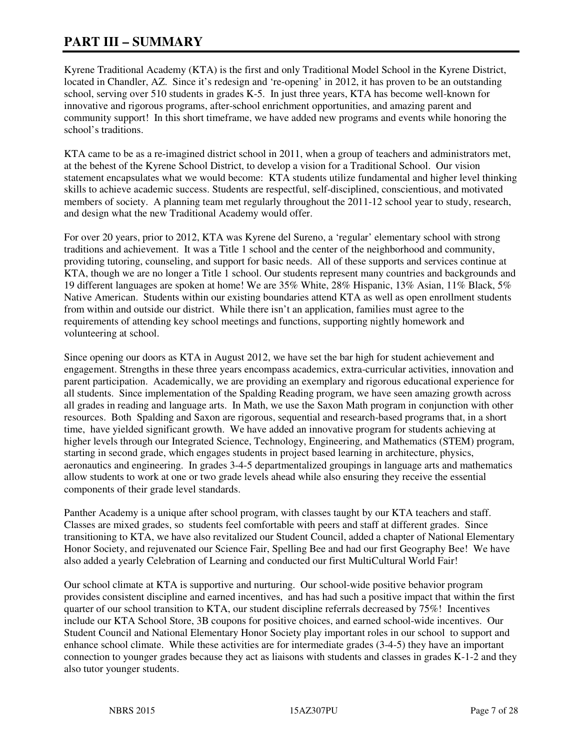# **PART III – SUMMARY**

Kyrene Traditional Academy (KTA) is the first and only Traditional Model School in the Kyrene District, located in Chandler, AZ. Since it's redesign and 're-opening' in 2012, it has proven to be an outstanding school, serving over 510 students in grades K-5. In just three years, KTA has become well-known for innovative and rigorous programs, after-school enrichment opportunities, and amazing parent and community support! In this short timeframe, we have added new programs and events while honoring the school's traditions.

KTA came to be as a re-imagined district school in 2011, when a group of teachers and administrators met, at the behest of the Kyrene School District, to develop a vision for a Traditional School. Our vision statement encapsulates what we would become: KTA students utilize fundamental and higher level thinking skills to achieve academic success. Students are respectful, self-disciplined, conscientious, and motivated members of society. A planning team met regularly throughout the 2011-12 school year to study, research, and design what the new Traditional Academy would offer.

For over 20 years, prior to 2012, KTA was Kyrene del Sureno, a 'regular' elementary school with strong traditions and achievement. It was a Title 1 school and the center of the neighborhood and community, providing tutoring, counseling, and support for basic needs. All of these supports and services continue at KTA, though we are no longer a Title 1 school. Our students represent many countries and backgrounds and 19 different languages are spoken at home! We are 35% White, 28% Hispanic, 13% Asian, 11% Black, 5% Native American. Students within our existing boundaries attend KTA as well as open enrollment students from within and outside our district. While there isn't an application, families must agree to the requirements of attending key school meetings and functions, supporting nightly homework and volunteering at school.

Since opening our doors as KTA in August 2012, we have set the bar high for student achievement and engagement. Strengths in these three years encompass academics, extra-curricular activities, innovation and parent participation. Academically, we are providing an exemplary and rigorous educational experience for all students. Since implementation of the Spalding Reading program, we have seen amazing growth across all grades in reading and language arts. In Math, we use the Saxon Math program in conjunction with other resources. Both Spalding and Saxon are rigorous, sequential and research-based programs that, in a short time, have yielded significant growth. We have added an innovative program for students achieving at higher levels through our Integrated Science, Technology, Engineering, and Mathematics (STEM) program, starting in second grade, which engages students in project based learning in architecture, physics, aeronautics and engineering. In grades 3-4-5 departmentalized groupings in language arts and mathematics allow students to work at one or two grade levels ahead while also ensuring they receive the essential components of their grade level standards.

Panther Academy is a unique after school program, with classes taught by our KTA teachers and staff. Classes are mixed grades, so students feel comfortable with peers and staff at different grades. Since transitioning to KTA, we have also revitalized our Student Council, added a chapter of National Elementary Honor Society, and rejuvenated our Science Fair, Spelling Bee and had our first Geography Bee! We have also added a yearly Celebration of Learning and conducted our first MultiCultural World Fair!

Our school climate at KTA is supportive and nurturing. Our school-wide positive behavior program provides consistent discipline and earned incentives, and has had such a positive impact that within the first quarter of our school transition to KTA, our student discipline referrals decreased by 75%! Incentives include our KTA School Store, 3B coupons for positive choices, and earned school-wide incentives. Our Student Council and National Elementary Honor Society play important roles in our school to support and enhance school climate. While these activities are for intermediate grades (3-4-5) they have an important connection to younger grades because they act as liaisons with students and classes in grades K-1-2 and they also tutor younger students.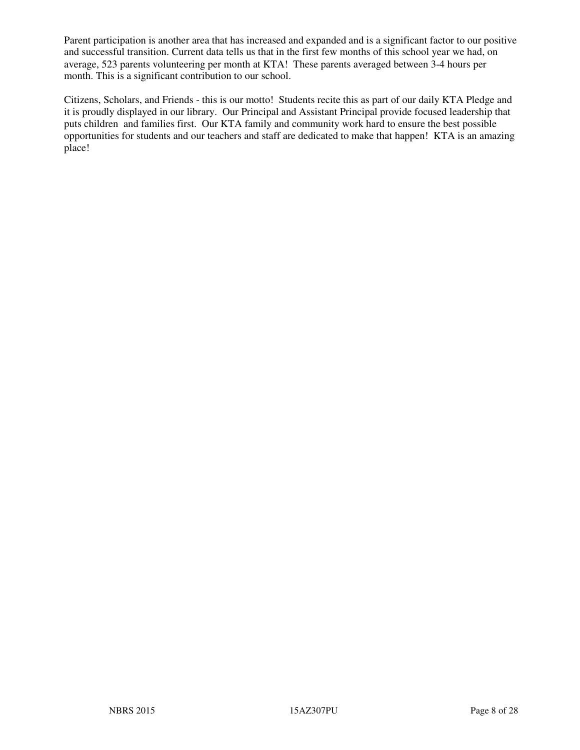Parent participation is another area that has increased and expanded and is a significant factor to our positive and successful transition. Current data tells us that in the first few months of this school year we had, on average, 523 parents volunteering per month at KTA! These parents averaged between 3-4 hours per month. This is a significant contribution to our school.

Citizens, Scholars, and Friends - this is our motto! Students recite this as part of our daily KTA Pledge and it is proudly displayed in our library. Our Principal and Assistant Principal provide focused leadership that puts children and families first. Our KTA family and community work hard to ensure the best possible opportunities for students and our teachers and staff are dedicated to make that happen! KTA is an amazing place!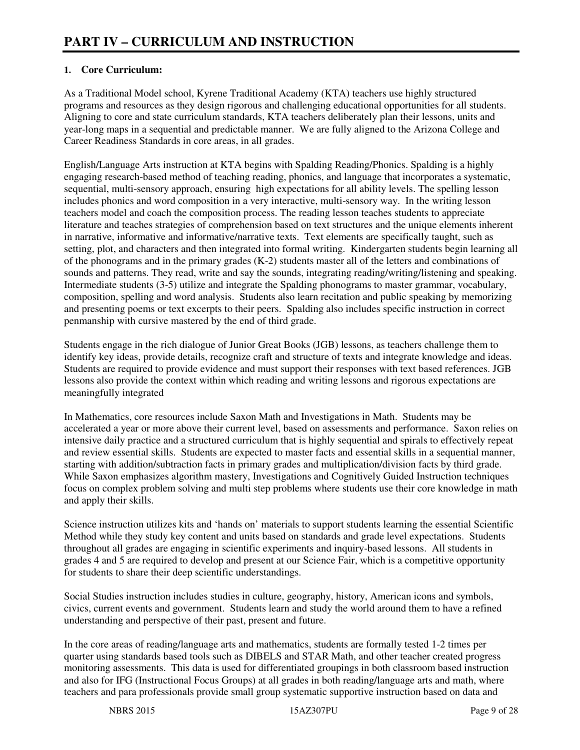#### **1. Core Curriculum:**

As a Traditional Model school, Kyrene Traditional Academy (KTA) teachers use highly structured programs and resources as they design rigorous and challenging educational opportunities for all students. Aligning to core and state curriculum standards, KTA teachers deliberately plan their lessons, units and year-long maps in a sequential and predictable manner. We are fully aligned to the Arizona College and Career Readiness Standards in core areas, in all grades.

English/Language Arts instruction at KTA begins with Spalding Reading/Phonics. Spalding is a highly engaging research-based method of teaching reading, phonics, and language that incorporates a systematic, sequential, multi-sensory approach, ensuring high expectations for all ability levels. The spelling lesson includes phonics and word composition in a very interactive, multi-sensory way. In the writing lesson teachers model and coach the composition process. The reading lesson teaches students to appreciate literature and teaches strategies of comprehension based on text structures and the unique elements inherent in narrative, informative and informative/narrative texts. Text elements are specifically taught, such as setting, plot, and characters and then integrated into formal writing. Kindergarten students begin learning all of the phonograms and in the primary grades (K-2) students master all of the letters and combinations of sounds and patterns. They read, write and say the sounds, integrating reading/writing/listening and speaking. Intermediate students (3-5) utilize and integrate the Spalding phonograms to master grammar, vocabulary, composition, spelling and word analysis. Students also learn recitation and public speaking by memorizing and presenting poems or text excerpts to their peers. Spalding also includes specific instruction in correct penmanship with cursive mastered by the end of third grade.

Students engage in the rich dialogue of Junior Great Books (JGB) lessons, as teachers challenge them to identify key ideas, provide details, recognize craft and structure of texts and integrate knowledge and ideas. Students are required to provide evidence and must support their responses with text based references. JGB lessons also provide the context within which reading and writing lessons and rigorous expectations are meaningfully integrated

In Mathematics, core resources include Saxon Math and Investigations in Math. Students may be accelerated a year or more above their current level, based on assessments and performance. Saxon relies on intensive daily practice and a structured curriculum that is highly sequential and spirals to effectively repeat and review essential skills. Students are expected to master facts and essential skills in a sequential manner, starting with addition/subtraction facts in primary grades and multiplication/division facts by third grade. While Saxon emphasizes algorithm mastery, Investigations and Cognitively Guided Instruction techniques focus on complex problem solving and multi step problems where students use their core knowledge in math and apply their skills.

Science instruction utilizes kits and 'hands on' materials to support students learning the essential Scientific Method while they study key content and units based on standards and grade level expectations. Students throughout all grades are engaging in scientific experiments and inquiry-based lessons. All students in grades 4 and 5 are required to develop and present at our Science Fair, which is a competitive opportunity for students to share their deep scientific understandings.

Social Studies instruction includes studies in culture, geography, history, American icons and symbols, civics, current events and government. Students learn and study the world around them to have a refined understanding and perspective of their past, present and future.

In the core areas of reading/language arts and mathematics, students are formally tested 1-2 times per quarter using standards based tools such as DIBELS and STAR Math, and other teacher created progress monitoring assessments. This data is used for differentiated groupings in both classroom based instruction and also for IFG (Instructional Focus Groups) at all grades in both reading/language arts and math, where teachers and para professionals provide small group systematic supportive instruction based on data and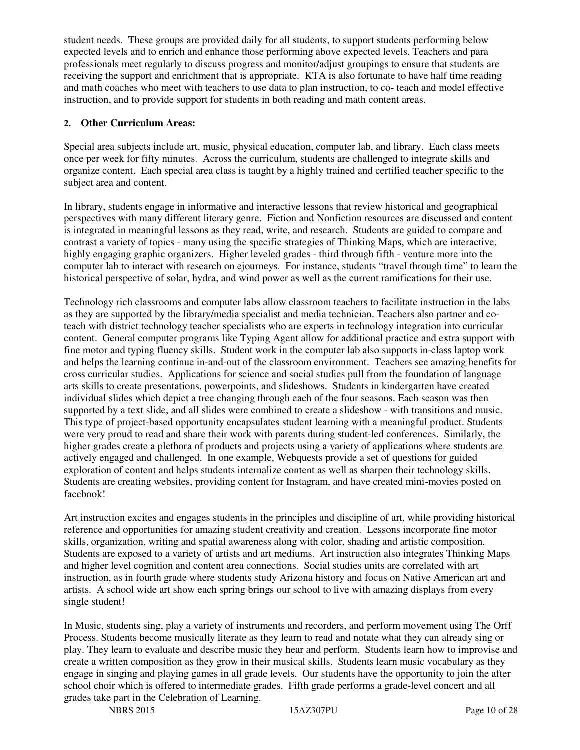student needs. These groups are provided daily for all students, to support students performing below expected levels and to enrich and enhance those performing above expected levels. Teachers and para professionals meet regularly to discuss progress and monitor/adjust groupings to ensure that students are receiving the support and enrichment that is appropriate. KTA is also fortunate to have half time reading and math coaches who meet with teachers to use data to plan instruction, to co- teach and model effective instruction, and to provide support for students in both reading and math content areas.

#### **2. Other Curriculum Areas:**

Special area subjects include art, music, physical education, computer lab, and library. Each class meets once per week for fifty minutes. Across the curriculum, students are challenged to integrate skills and organize content. Each special area class is taught by a highly trained and certified teacher specific to the subject area and content.

In library, students engage in informative and interactive lessons that review historical and geographical perspectives with many different literary genre. Fiction and Nonfiction resources are discussed and content is integrated in meaningful lessons as they read, write, and research. Students are guided to compare and contrast a variety of topics - many using the specific strategies of Thinking Maps, which are interactive, highly engaging graphic organizers. Higher leveled grades - third through fifth - venture more into the computer lab to interact with research on ejourneys. For instance, students "travel through time" to learn the historical perspective of solar, hydra, and wind power as well as the current ramifications for their use.

Technology rich classrooms and computer labs allow classroom teachers to facilitate instruction in the labs as they are supported by the library/media specialist and media technician. Teachers also partner and coteach with district technology teacher specialists who are experts in technology integration into curricular content. General computer programs like Typing Agent allow for additional practice and extra support with fine motor and typing fluency skills. Student work in the computer lab also supports in-class laptop work and helps the learning continue in-and-out of the classroom environment. Teachers see amazing benefits for cross curricular studies. Applications for science and social studies pull from the foundation of language arts skills to create presentations, powerpoints, and slideshows. Students in kindergarten have created individual slides which depict a tree changing through each of the four seasons. Each season was then supported by a text slide, and all slides were combined to create a slideshow - with transitions and music. This type of project-based opportunity encapsulates student learning with a meaningful product. Students were very proud to read and share their work with parents during student-led conferences. Similarly, the higher grades create a plethora of products and projects using a variety of applications where students are actively engaged and challenged. In one example, Webquests provide a set of questions for guided exploration of content and helps students internalize content as well as sharpen their technology skills. Students are creating websites, providing content for Instagram, and have created mini-movies posted on facebook!

Art instruction excites and engages students in the principles and discipline of art, while providing historical reference and opportunities for amazing student creativity and creation. Lessons incorporate fine motor skills, organization, writing and spatial awareness along with color, shading and artistic composition. Students are exposed to a variety of artists and art mediums. Art instruction also integrates Thinking Maps and higher level cognition and content area connections. Social studies units are correlated with art instruction, as in fourth grade where students study Arizona history and focus on Native American art and artists. A school wide art show each spring brings our school to live with amazing displays from every single student!

In Music, students sing, play a variety of instruments and recorders, and perform movement using The Orff Process. Students become musically literate as they learn to read and notate what they can already sing or play. They learn to evaluate and describe music they hear and perform. Students learn how to improvise and create a written composition as they grow in their musical skills. Students learn music vocabulary as they engage in singing and playing games in all grade levels. Our students have the opportunity to join the after school choir which is offered to intermediate grades. Fifth grade performs a grade-level concert and all grades take part in the Celebration of Learning.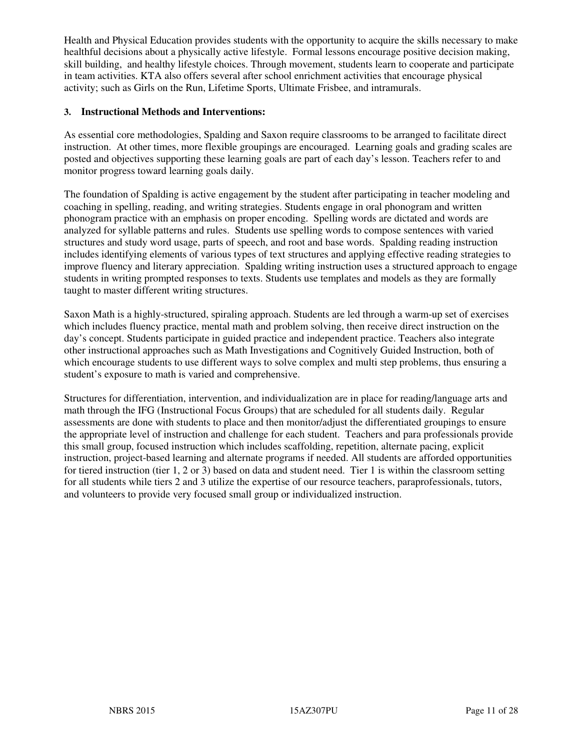Health and Physical Education provides students with the opportunity to acquire the skills necessary to make healthful decisions about a physically active lifestyle. Formal lessons encourage positive decision making, skill building, and healthy lifestyle choices. Through movement, students learn to cooperate and participate in team activities. KTA also offers several after school enrichment activities that encourage physical activity; such as Girls on the Run, Lifetime Sports, Ultimate Frisbee, and intramurals.

#### **3. Instructional Methods and Interventions:**

As essential core methodologies, Spalding and Saxon require classrooms to be arranged to facilitate direct instruction. At other times, more flexible groupings are encouraged. Learning goals and grading scales are posted and objectives supporting these learning goals are part of each day's lesson. Teachers refer to and monitor progress toward learning goals daily.

The foundation of Spalding is active engagement by the student after participating in teacher modeling and coaching in spelling, reading, and writing strategies. Students engage in oral phonogram and written phonogram practice with an emphasis on proper encoding. Spelling words are dictated and words are analyzed for syllable patterns and rules. Students use spelling words to compose sentences with varied structures and study word usage, parts of speech, and root and base words. Spalding reading instruction includes identifying elements of various types of text structures and applying effective reading strategies to improve fluency and literary appreciation. Spalding writing instruction uses a structured approach to engage students in writing prompted responses to texts. Students use templates and models as they are formally taught to master different writing structures.

Saxon Math is a highly-structured, spiraling approach. Students are led through a warm-up set of exercises which includes fluency practice, mental math and problem solving, then receive direct instruction on the day's concept. Students participate in guided practice and independent practice. Teachers also integrate other instructional approaches such as Math Investigations and Cognitively Guided Instruction, both of which encourage students to use different ways to solve complex and multi step problems, thus ensuring a student's exposure to math is varied and comprehensive.

Structures for differentiation, intervention, and individualization are in place for reading/language arts and math through the IFG (Instructional Focus Groups) that are scheduled for all students daily. Regular assessments are done with students to place and then monitor/adjust the differentiated groupings to ensure the appropriate level of instruction and challenge for each student. Teachers and para professionals provide this small group, focused instruction which includes scaffolding, repetition, alternate pacing, explicit instruction, project-based learning and alternate programs if needed. All students are afforded opportunities for tiered instruction (tier 1, 2 or 3) based on data and student need. Tier 1 is within the classroom setting for all students while tiers 2 and 3 utilize the expertise of our resource teachers, paraprofessionals, tutors, and volunteers to provide very focused small group or individualized instruction.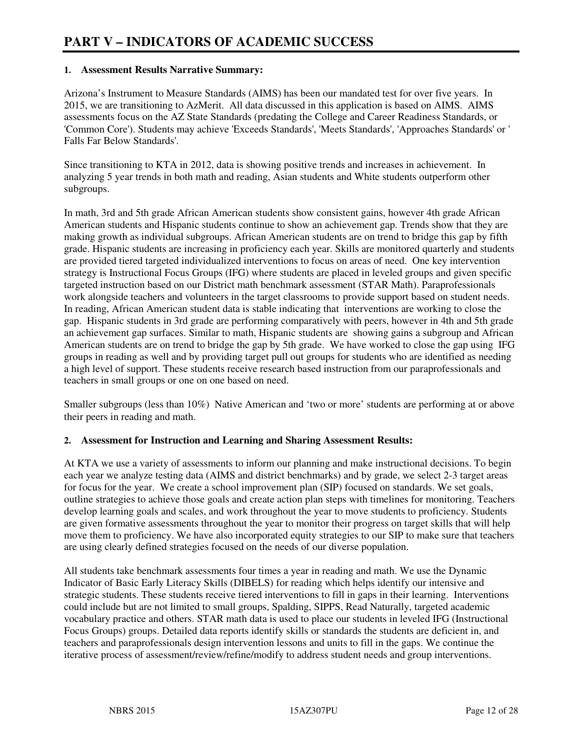#### **1. Assessment Results Narrative Summary:**

Arizona's Instrument to Measure Standards (AIMS) has been our mandated test for over five years. In 2015, we are transitioning to AzMerit. All data discussed in this application is based on AIMS. AIMS assessments focus on the AZ State Standards (predating the College and Career Readiness Standards, or 'Common Core'). Students may achieve 'Exceeds Standards', 'Meets Standards', 'Approaches Standards' or ' Falls Far Below Standards'.

Since transitioning to KTA in 2012, data is showing positive trends and increases in achievement. In analyzing 5 year trends in both math and reading, Asian students and White students outperform other subgroups.

In math, 3rd and 5th grade African American students show consistent gains, however 4th grade African American students and Hispanic students continue to show an achievement gap. Trends show that they are making growth as individual subgroups. African American students are on trend to bridge this gap by fifth grade. Hispanic students are increasing in proficiency each year. Skills are monitored quarterly and students are provided tiered targeted individualized interventions to focus on areas of need. One key intervention strategy is Instructional Focus Groups (IFG) where students are placed in leveled groups and given specific targeted instruction based on our District math benchmark assessment (STAR Math). Paraprofessionals work alongside teachers and volunteers in the target classrooms to provide support based on student needs. In reading, African American student data is stable indicating that interventions are working to close the gap. Hispanic students in 3rd grade are performing comparatively with peers, however in 4th and 5th grade an achievement gap surfaces. Similar to math, Hispanic students are showing gains a subgroup and African American students are on trend to bridge the gap by 5th grade. We have worked to close the gap using IFG groups in reading as well and by providing target pull out groups for students who are identified as needing a high level of support. These students receive research based instruction from our paraprofessionals and teachers in small groups or one on one based on need.

Smaller subgroups (less than 10%) Native American and 'two or more' students are performing at or above their peers in reading and math.

#### **2. Assessment for Instruction and Learning and Sharing Assessment Results:**

At KTA we use a variety of assessments to inform our planning and make instructional decisions. To begin each year we analyze testing data (AIMS and district benchmarks) and by grade, we select 2-3 target areas for focus for the year. We create a school improvement plan (SIP) focused on standards. We set goals, outline strategies to achieve those goals and create action plan steps with timelines for monitoring. Teachers develop learning goals and scales, and work throughout the year to move students to proficiency. Students are given formative assessments throughout the year to monitor their progress on target skills that will help move them to proficiency. We have also incorporated equity strategies to our SIP to make sure that teachers are using clearly defined strategies focused on the needs of our diverse population.

All students take benchmark assessments four times a year in reading and math. We use the Dynamic Indicator of Basic Early Literacy Skills (DIBELS) for reading which helps identify our intensive and strategic students. These students receive tiered interventions to fill in gaps in their learning. Interventions could include but are not limited to small groups, Spalding, SIPPS, Read Naturally, targeted academic vocabulary practice and others. STAR math data is used to place our students in leveled IFG (Instructional Focus Groups) groups. Detailed data reports identify skills or standards the students are deficient in, and teachers and paraprofessionals design intervention lessons and units to fill in the gaps. We continue the iterative process of assessment/review/refine/modify to address student needs and group interventions.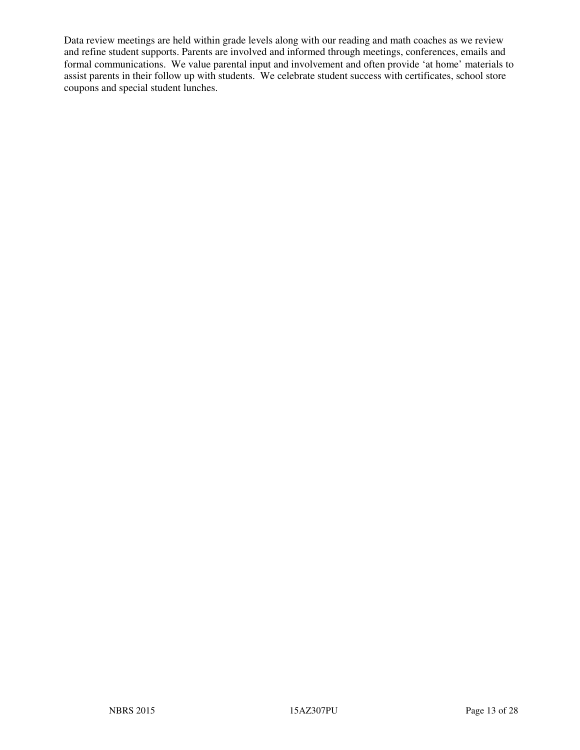Data review meetings are held within grade levels along with our reading and math coaches as we review and refine student supports. Parents are involved and informed through meetings, conferences, emails and formal communications. We value parental input and involvement and often provide 'at home' materials to assist parents in their follow up with students. We celebrate student success with certificates, school store coupons and special student lunches.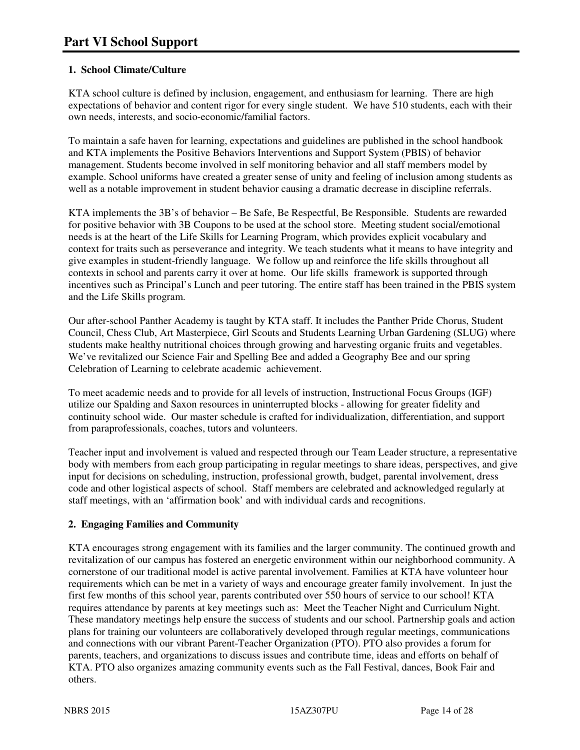#### **1. School Climate/Culture**

KTA school culture is defined by inclusion, engagement, and enthusiasm for learning. There are high expectations of behavior and content rigor for every single student. We have 510 students, each with their own needs, interests, and socio-economic/familial factors.

To maintain a safe haven for learning, expectations and guidelines are published in the school handbook and KTA implements the Positive Behaviors Interventions and Support System (PBIS) of behavior management. Students become involved in self monitoring behavior and all staff members model by example. School uniforms have created a greater sense of unity and feeling of inclusion among students as well as a notable improvement in student behavior causing a dramatic decrease in discipline referrals.

KTA implements the 3B's of behavior – Be Safe, Be Respectful, Be Responsible. Students are rewarded for positive behavior with 3B Coupons to be used at the school store. Meeting student social/emotional needs is at the heart of the Life Skills for Learning Program, which provides explicit vocabulary and context for traits such as perseverance and integrity. We teach students what it means to have integrity and give examples in student-friendly language. We follow up and reinforce the life skills throughout all contexts in school and parents carry it over at home. Our life skills framework is supported through incentives such as Principal's Lunch and peer tutoring. The entire staff has been trained in the PBIS system and the Life Skills program.

Our after-school Panther Academy is taught by KTA staff. It includes the Panther Pride Chorus, Student Council, Chess Club, Art Masterpiece, Girl Scouts and Students Learning Urban Gardening (SLUG) where students make healthy nutritional choices through growing and harvesting organic fruits and vegetables. We've revitalized our Science Fair and Spelling Bee and added a Geography Bee and our spring Celebration of Learning to celebrate academic achievement.

To meet academic needs and to provide for all levels of instruction, Instructional Focus Groups (IGF) utilize our Spalding and Saxon resources in uninterrupted blocks - allowing for greater fidelity and continuity school wide. Our master schedule is crafted for individualization, differentiation, and support from paraprofessionals, coaches, tutors and volunteers.

Teacher input and involvement is valued and respected through our Team Leader structure, a representative body with members from each group participating in regular meetings to share ideas, perspectives, and give input for decisions on scheduling, instruction, professional growth, budget, parental involvement, dress code and other logistical aspects of school. Staff members are celebrated and acknowledged regularly at staff meetings, with an 'affirmation book' and with individual cards and recognitions.

#### **2. Engaging Families and Community**

KTA encourages strong engagement with its families and the larger community. The continued growth and revitalization of our campus has fostered an energetic environment within our neighborhood community. A cornerstone of our traditional model is active parental involvement. Families at KTA have volunteer hour requirements which can be met in a variety of ways and encourage greater family involvement. In just the first few months of this school year, parents contributed over 550 hours of service to our school! KTA requires attendance by parents at key meetings such as: Meet the Teacher Night and Curriculum Night. These mandatory meetings help ensure the success of students and our school. Partnership goals and action plans for training our volunteers are collaboratively developed through regular meetings, communications and connections with our vibrant Parent-Teacher Organization (PTO). PTO also provides a forum for parents, teachers, and organizations to discuss issues and contribute time, ideas and efforts on behalf of KTA. PTO also organizes amazing community events such as the Fall Festival, dances, Book Fair and others.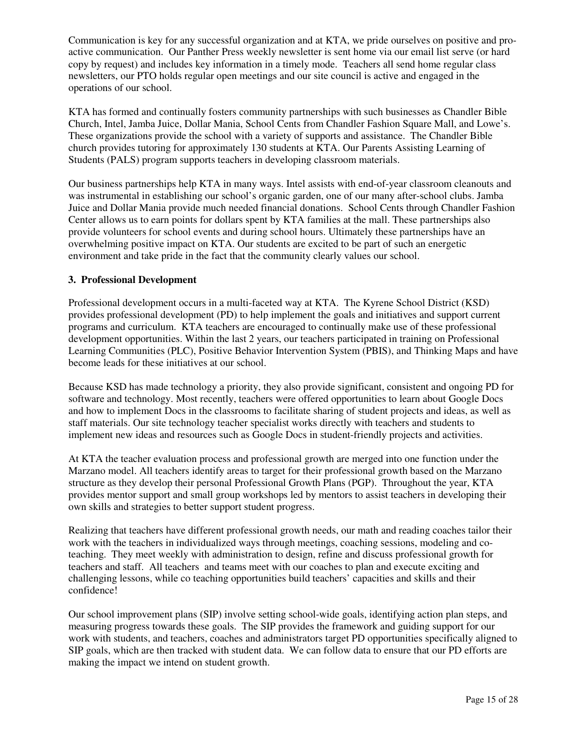Communication is key for any successful organization and at KTA, we pride ourselves on positive and proactive communication. Our Panther Press weekly newsletter is sent home via our email list serve (or hard copy by request) and includes key information in a timely mode. Teachers all send home regular class newsletters, our PTO holds regular open meetings and our site council is active and engaged in the operations of our school.

KTA has formed and continually fosters community partnerships with such businesses as Chandler Bible Church, Intel, Jamba Juice, Dollar Mania, School Cents from Chandler Fashion Square Mall, and Lowe's. These organizations provide the school with a variety of supports and assistance. The Chandler Bible church provides tutoring for approximately 130 students at KTA. Our Parents Assisting Learning of Students (PALS) program supports teachers in developing classroom materials.

Our business partnerships help KTA in many ways. Intel assists with end-of-year classroom cleanouts and was instrumental in establishing our school's organic garden, one of our many after-school clubs. Jamba Juice and Dollar Mania provide much needed financial donations. School Cents through Chandler Fashion Center allows us to earn points for dollars spent by KTA families at the mall. These partnerships also provide volunteers for school events and during school hours. Ultimately these partnerships have an overwhelming positive impact on KTA. Our students are excited to be part of such an energetic environment and take pride in the fact that the community clearly values our school.

#### **3. Professional Development**

Professional development occurs in a multi-faceted way at KTA. The Kyrene School District (KSD) provides professional development (PD) to help implement the goals and initiatives and support current programs and curriculum. KTA teachers are encouraged to continually make use of these professional development opportunities. Within the last 2 years, our teachers participated in training on Professional Learning Communities (PLC), Positive Behavior Intervention System (PBIS), and Thinking Maps and have become leads for these initiatives at our school.

Because KSD has made technology a priority, they also provide significant, consistent and ongoing PD for software and technology. Most recently, teachers were offered opportunities to learn about Google Docs and how to implement Docs in the classrooms to facilitate sharing of student projects and ideas, as well as staff materials. Our site technology teacher specialist works directly with teachers and students to implement new ideas and resources such as Google Docs in student-friendly projects and activities.

At KTA the teacher evaluation process and professional growth are merged into one function under the Marzano model. All teachers identify areas to target for their professional growth based on the Marzano structure as they develop their personal Professional Growth Plans (PGP). Throughout the year, KTA provides mentor support and small group workshops led by mentors to assist teachers in developing their own skills and strategies to better support student progress.

Realizing that teachers have different professional growth needs, our math and reading coaches tailor their work with the teachers in individualized ways through meetings, coaching sessions, modeling and coteaching. They meet weekly with administration to design, refine and discuss professional growth for teachers and staff. All teachers and teams meet with our coaches to plan and execute exciting and challenging lessons, while co teaching opportunities build teachers' capacities and skills and their confidence!

Our school improvement plans (SIP) involve setting school-wide goals, identifying action plan steps, and measuring progress towards these goals. The SIP provides the framework and guiding support for our work with students, and teachers, coaches and administrators target PD opportunities specifically aligned to SIP goals, which are then tracked with student data. We can follow data to ensure that our PD efforts are making the impact we intend on student growth.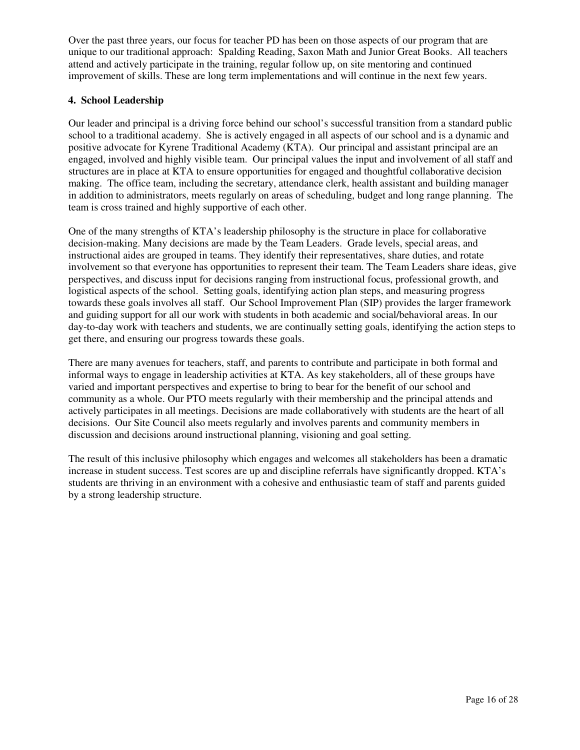Over the past three years, our focus for teacher PD has been on those aspects of our program that are unique to our traditional approach: Spalding Reading, Saxon Math and Junior Great Books. All teachers attend and actively participate in the training, regular follow up, on site mentoring and continued improvement of skills. These are long term implementations and will continue in the next few years.

#### **4. School Leadership**

Our leader and principal is a driving force behind our school's successful transition from a standard public school to a traditional academy. She is actively engaged in all aspects of our school and is a dynamic and positive advocate for Kyrene Traditional Academy (KTA). Our principal and assistant principal are an engaged, involved and highly visible team. Our principal values the input and involvement of all staff and structures are in place at KTA to ensure opportunities for engaged and thoughtful collaborative decision making. The office team, including the secretary, attendance clerk, health assistant and building manager in addition to administrators, meets regularly on areas of scheduling, budget and long range planning. The team is cross trained and highly supportive of each other.

One of the many strengths of KTA's leadership philosophy is the structure in place for collaborative decision-making. Many decisions are made by the Team Leaders. Grade levels, special areas, and instructional aides are grouped in teams. They identify their representatives, share duties, and rotate involvement so that everyone has opportunities to represent their team. The Team Leaders share ideas, give perspectives, and discuss input for decisions ranging from instructional focus, professional growth, and logistical aspects of the school. Setting goals, identifying action plan steps, and measuring progress towards these goals involves all staff. Our School Improvement Plan (SIP) provides the larger framework and guiding support for all our work with students in both academic and social/behavioral areas. In our day-to-day work with teachers and students, we are continually setting goals, identifying the action steps to get there, and ensuring our progress towards these goals.

There are many avenues for teachers, staff, and parents to contribute and participate in both formal and informal ways to engage in leadership activities at KTA. As key stakeholders, all of these groups have varied and important perspectives and expertise to bring to bear for the benefit of our school and community as a whole. Our PTO meets regularly with their membership and the principal attends and actively participates in all meetings. Decisions are made collaboratively with students are the heart of all decisions. Our Site Council also meets regularly and involves parents and community members in discussion and decisions around instructional planning, visioning and goal setting.

The result of this inclusive philosophy which engages and welcomes all stakeholders has been a dramatic increase in student success. Test scores are up and discipline referrals have significantly dropped. KTA's students are thriving in an environment with a cohesive and enthusiastic team of staff and parents guided by a strong leadership structure.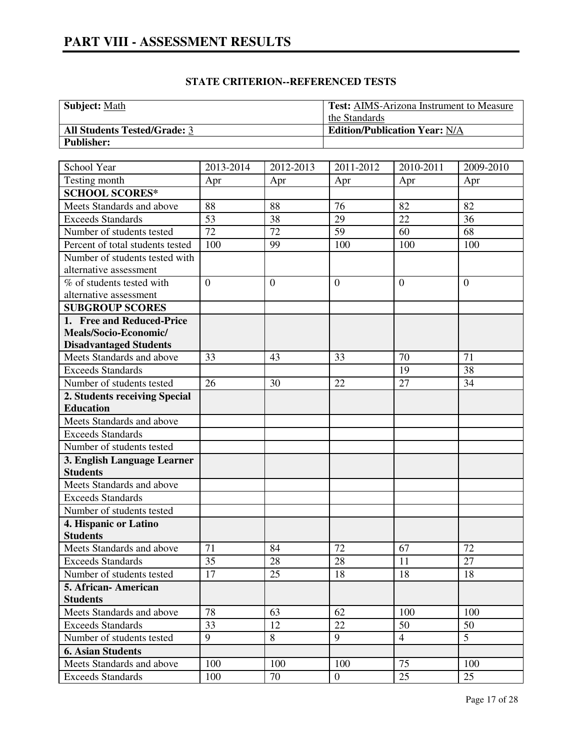# **Subject:** Math **Test:** AIMS-Arizona Instrument to Measure the Standards **All Students Tested/Grade:** 3 **Edition/Publication Year:** N/A **Publisher:**

| School Year                      | 2013-2014      | 2012-2013    | 2011-2012        | 2010-2011      | 2009-2010    |
|----------------------------------|----------------|--------------|------------------|----------------|--------------|
| Testing month                    | Apr            | Apr          | Apr              | Apr            | Apr          |
| <b>SCHOOL SCORES*</b>            |                |              |                  |                |              |
| Meets Standards and above        | 88             | 88           | 76               | 82             | 82           |
| <b>Exceeds Standards</b>         | 53             | 38           | 29               | 22             | 36           |
| Number of students tested        | 72             | 72           | 59               | 60             | 68           |
| Percent of total students tested | 100            | 99           | 100              | 100            | 100          |
| Number of students tested with   |                |              |                  |                |              |
| alternative assessment           |                |              |                  |                |              |
| % of students tested with        | $\overline{0}$ | $\mathbf{0}$ | $\overline{0}$   | $\theta$       | $\mathbf{0}$ |
| alternative assessment           |                |              |                  |                |              |
| <b>SUBGROUP SCORES</b>           |                |              |                  |                |              |
| 1. Free and Reduced-Price        |                |              |                  |                |              |
| Meals/Socio-Economic/            |                |              |                  |                |              |
| <b>Disadvantaged Students</b>    |                |              |                  |                |              |
| Meets Standards and above        | 33             | 43           | 33               | 70             | 71           |
| <b>Exceeds Standards</b>         |                |              |                  | 19             | 38           |
| Number of students tested        | 26             | 30           | 22               | 27             | 34           |
| 2. Students receiving Special    |                |              |                  |                |              |
| <b>Education</b>                 |                |              |                  |                |              |
| Meets Standards and above        |                |              |                  |                |              |
| <b>Exceeds Standards</b>         |                |              |                  |                |              |
| Number of students tested        |                |              |                  |                |              |
| 3. English Language Learner      |                |              |                  |                |              |
| <b>Students</b>                  |                |              |                  |                |              |
| Meets Standards and above        |                |              |                  |                |              |
| <b>Exceeds Standards</b>         |                |              |                  |                |              |
| Number of students tested        |                |              |                  |                |              |
| 4. Hispanic or Latino            |                |              |                  |                |              |
| <b>Students</b>                  |                |              |                  |                |              |
| Meets Standards and above        | 71             | 84           | 72               | 67             | 72           |
| <b>Exceeds Standards</b>         | 35             | 28           | 28               | 11             | 27           |
| Number of students tested        | 17             | 25           | 18               | 18             | 18           |
| 5. African-American              |                |              |                  |                |              |
| <b>Students</b>                  |                |              |                  |                |              |
| Meets Standards and above        | 78             | 63           | 62               | 100            | 100          |
| <b>Exceeds Standards</b>         | 33             | 12           | 22               | 50             | 50           |
| Number of students tested        | 9              | 8            | 9                | $\overline{4}$ | 5            |
| <b>6. Asian Students</b>         |                |              |                  |                |              |
| Meets Standards and above        | 100            | 100          | 100              | 75             | 100          |
| <b>Exceeds Standards</b>         | 100            | 70           | $\boldsymbol{0}$ | 25             | 25           |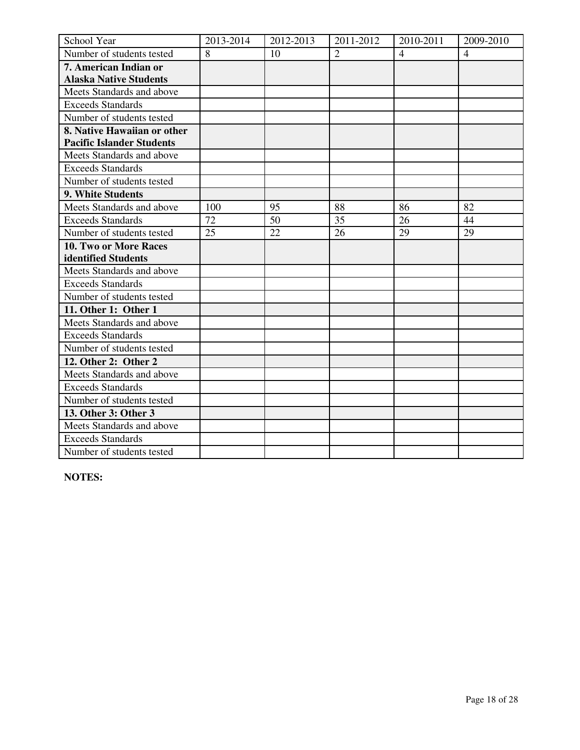| School Year                      | 2013-2014 | 2012-2013 | 2011-2012      | 2010-2011      | 2009-2010      |
|----------------------------------|-----------|-----------|----------------|----------------|----------------|
| Number of students tested        | 8         | 10        | $\overline{2}$ | $\overline{4}$ | $\overline{4}$ |
| 7. American Indian or            |           |           |                |                |                |
| <b>Alaska Native Students</b>    |           |           |                |                |                |
| Meets Standards and above        |           |           |                |                |                |
| <b>Exceeds Standards</b>         |           |           |                |                |                |
| Number of students tested        |           |           |                |                |                |
| 8. Native Hawaiian or other      |           |           |                |                |                |
| <b>Pacific Islander Students</b> |           |           |                |                |                |
| Meets Standards and above        |           |           |                |                |                |
| <b>Exceeds Standards</b>         |           |           |                |                |                |
| Number of students tested        |           |           |                |                |                |
| 9. White Students                |           |           |                |                |                |
| Meets Standards and above        | 100       | 95        | 88             | 86             | 82             |
| <b>Exceeds Standards</b>         | 72        | 50        | 35             | 26             | 44             |
| Number of students tested        | 25        | 22        | 26             | 29             | 29             |
| 10. Two or More Races            |           |           |                |                |                |
| identified Students              |           |           |                |                |                |
| Meets Standards and above        |           |           |                |                |                |
| <b>Exceeds Standards</b>         |           |           |                |                |                |
| Number of students tested        |           |           |                |                |                |
| 11. Other 1: Other 1             |           |           |                |                |                |
| Meets Standards and above        |           |           |                |                |                |
| <b>Exceeds Standards</b>         |           |           |                |                |                |
| Number of students tested        |           |           |                |                |                |
| 12. Other 2: Other 2             |           |           |                |                |                |
| Meets Standards and above        |           |           |                |                |                |
| <b>Exceeds Standards</b>         |           |           |                |                |                |
| Number of students tested        |           |           |                |                |                |
| 13. Other 3: Other 3             |           |           |                |                |                |
| Meets Standards and above        |           |           |                |                |                |
| <b>Exceeds Standards</b>         |           |           |                |                |                |
| Number of students tested        |           |           |                |                |                |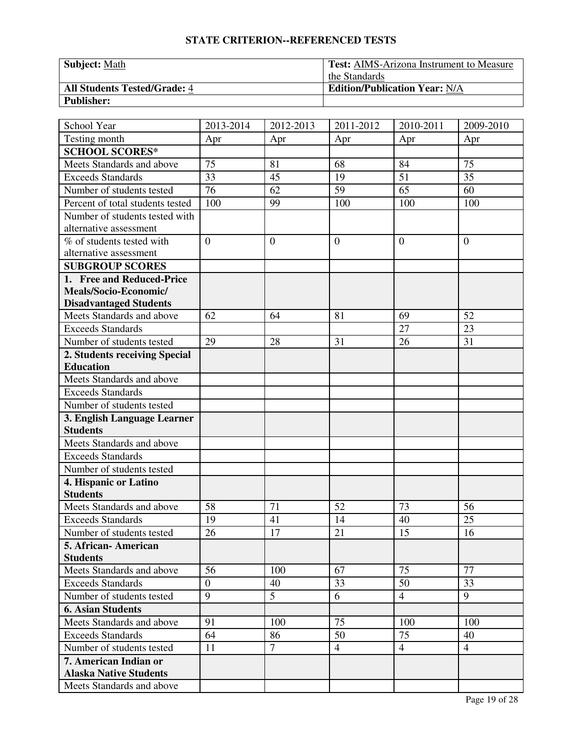| <b>Subject: Math</b>                | <b>Test:</b> AIMS-Arizona Instrument to Measure |  |  |
|-------------------------------------|-------------------------------------------------|--|--|
|                                     | the Standards                                   |  |  |
| <b>All Students Tested/Grade: 4</b> | <b>Edition/Publication Year: N/A</b>            |  |  |
| <b>Publisher:</b>                   |                                                 |  |  |

| School Year                                            | 2013-2014             | 2012-2013      | 2011-2012      | 2010-2011      | 2009-2010      |
|--------------------------------------------------------|-----------------------|----------------|----------------|----------------|----------------|
| Testing month                                          | Apr                   | Apr            | Apr            | Apr            | Apr            |
| <b>SCHOOL SCORES*</b>                                  |                       |                |                |                |                |
| Meets Standards and above                              | 75                    | 81             | 68             | 84             | 75             |
| Exceeds Standards                                      | 33                    | 45             | 19             | 51             | 35             |
| Number of students tested                              | 76                    | 62             | 59             | 65             | 60             |
| Percent of total students tested                       | 100                   | 99             | 100            | 100            | 100            |
| Number of students tested with                         |                       |                |                |                |                |
| alternative assessment                                 |                       |                |                |                |                |
| % of students tested with                              | $\overline{0}$        | $\overline{0}$ | $\overline{0}$ | $\overline{0}$ | $\mathbf{0}$   |
| alternative assessment                                 |                       |                |                |                |                |
| <b>SUBGROUP SCORES</b>                                 |                       |                |                |                |                |
| 1. Free and Reduced-Price                              |                       |                |                |                |                |
| Meals/Socio-Economic/                                  |                       |                |                |                |                |
| <b>Disadvantaged Students</b>                          |                       |                |                |                |                |
| Meets Standards and above                              | 62                    | 64             | 81             | 69             | 52             |
| <b>Exceeds Standards</b>                               |                       |                |                | 27             | 23             |
| Number of students tested                              | 29                    | 28             | 31             | 26             | 31             |
| 2. Students receiving Special                          |                       |                |                |                |                |
| <b>Education</b>                                       |                       |                |                |                |                |
| Meets Standards and above                              |                       |                |                |                |                |
| <b>Exceeds Standards</b>                               |                       |                |                |                |                |
| Number of students tested                              |                       |                |                |                |                |
| 3. English Language Learner                            |                       |                |                |                |                |
| <b>Students</b>                                        |                       |                |                |                |                |
| Meets Standards and above                              |                       |                |                |                |                |
| <b>Exceeds Standards</b>                               |                       |                |                |                |                |
| Number of students tested                              |                       |                |                |                |                |
| 4. Hispanic or Latino                                  |                       |                |                |                |                |
| <b>Students</b>                                        |                       |                |                |                |                |
| Meets Standards and above                              | 58                    | 71             | 52             | 73             | 56             |
| <b>Exceeds Standards</b>                               | 19                    | 41             | 14             | 40             | 25             |
| Number of students tested                              | 26                    | 17             | 21             | 15             | 16             |
| 5. African-American                                    |                       |                |                |                |                |
| <b>Students</b><br>Meets Standards and above           | 56                    | 100            | 67             | 75             | 77             |
|                                                        |                       |                |                |                |                |
| <b>Exceeds Standards</b>                               | $\boldsymbol{0}$<br>9 | 40<br>5        | 33             | 50             | 33             |
| Number of students tested                              |                       |                | 6              | $\overline{4}$ | 9              |
| <b>6. Asian Students</b>                               |                       |                |                |                |                |
| Meets Standards and above                              | 91                    | 100            | 75             | 100            | 100            |
| <b>Exceeds Standards</b>                               | 64                    | 86             | 50             | 75             | 40             |
| Number of students tested                              | 11                    | $\overline{7}$ | $\overline{4}$ | $\overline{4}$ | $\overline{4}$ |
| 7. American Indian or<br><b>Alaska Native Students</b> |                       |                |                |                |                |
| Meets Standards and above                              |                       |                |                |                |                |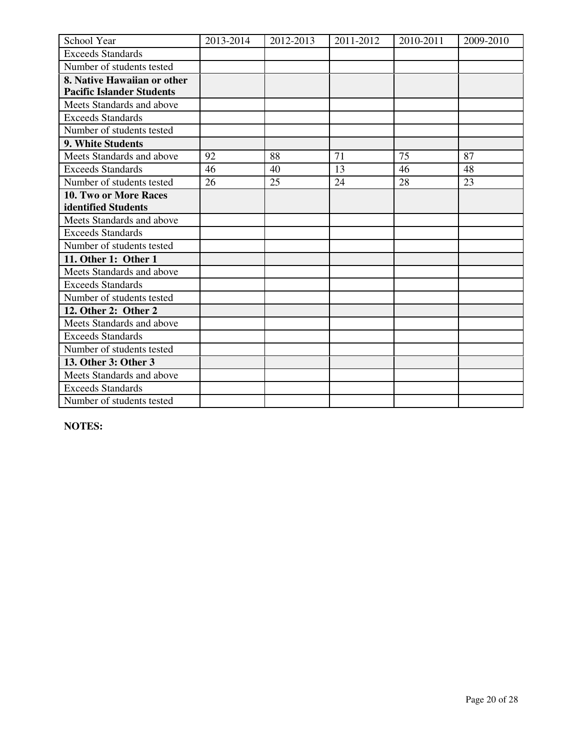| School Year                      | 2013-2014 | 2012-2013 | 2011-2012 | 2010-2011 | 2009-2010 |
|----------------------------------|-----------|-----------|-----------|-----------|-----------|
| <b>Exceeds Standards</b>         |           |           |           |           |           |
| Number of students tested        |           |           |           |           |           |
| 8. Native Hawaiian or other      |           |           |           |           |           |
| <b>Pacific Islander Students</b> |           |           |           |           |           |
| Meets Standards and above        |           |           |           |           |           |
| <b>Exceeds Standards</b>         |           |           |           |           |           |
| Number of students tested        |           |           |           |           |           |
| <b>9. White Students</b>         |           |           |           |           |           |
| Meets Standards and above        | 92        | 88        | 71        | 75        | 87        |
| <b>Exceeds Standards</b>         | 46        | 40        | 13        | 46        | 48        |
| Number of students tested        | 26        | 25        | 24        | 28        | 23        |
| <b>10. Two or More Races</b>     |           |           |           |           |           |
| identified Students              |           |           |           |           |           |
| Meets Standards and above        |           |           |           |           |           |
| <b>Exceeds Standards</b>         |           |           |           |           |           |
| Number of students tested        |           |           |           |           |           |
| 11. Other 1: Other 1             |           |           |           |           |           |
| Meets Standards and above        |           |           |           |           |           |
| <b>Exceeds Standards</b>         |           |           |           |           |           |
| Number of students tested        |           |           |           |           |           |
| 12. Other 2: Other 2             |           |           |           |           |           |
| Meets Standards and above        |           |           |           |           |           |
| <b>Exceeds Standards</b>         |           |           |           |           |           |
| Number of students tested        |           |           |           |           |           |
| 13. Other 3: Other 3             |           |           |           |           |           |
| Meets Standards and above        |           |           |           |           |           |
| <b>Exceeds Standards</b>         |           |           |           |           |           |
| Number of students tested        |           |           |           |           |           |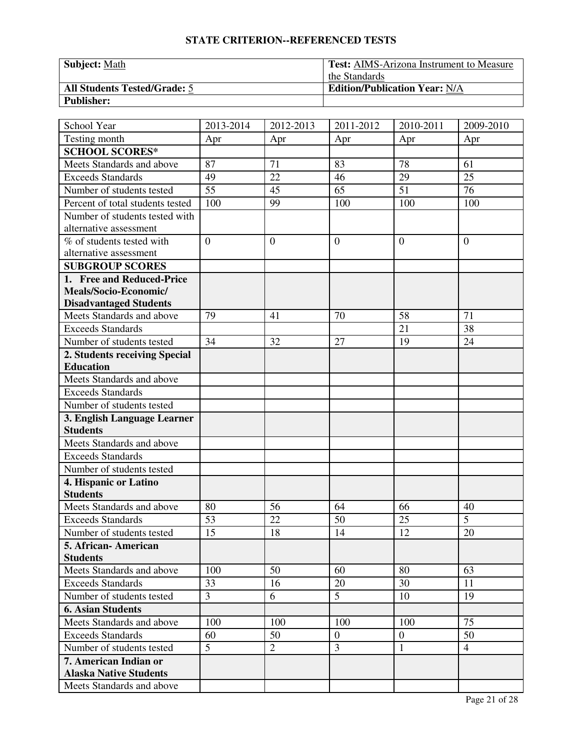| Subject: Math                       | <b>Test:</b> AIMS-Arizona Instrument to Measure |
|-------------------------------------|-------------------------------------------------|
|                                     | the Standards                                   |
| <b>All Students Tested/Grade: 5</b> | <b>Edition/Publication Year: N/A</b>            |
| <b>Publisher:</b>                   |                                                 |

| School Year                                            | 2013-2014      | 2012-2013      | 2011-2012      | 2010-2011      | 2009-2010      |
|--------------------------------------------------------|----------------|----------------|----------------|----------------|----------------|
| Testing month                                          | Apr            | Apr            | Apr            | Apr            | Apr            |
| <b>SCHOOL SCORES*</b>                                  |                |                |                |                |                |
| Meets Standards and above                              | 87             | 71             | 83             | 78             | 61             |
| Exceeds Standards                                      | 49             | 22             | 46             | 29             | 25             |
| Number of students tested                              | 55             | 45             | 65             | 51             | 76             |
| Percent of total students tested                       | 100            | 99             | 100            | 100            | 100            |
| Number of students tested with                         |                |                |                |                |                |
| alternative assessment                                 |                |                |                |                |                |
| % of students tested with                              | $\overline{0}$ | $\overline{0}$ | $\overline{0}$ | $\overline{0}$ | $\mathbf{0}$   |
| alternative assessment                                 |                |                |                |                |                |
| <b>SUBGROUP SCORES</b>                                 |                |                |                |                |                |
| 1. Free and Reduced-Price                              |                |                |                |                |                |
| Meals/Socio-Economic/                                  |                |                |                |                |                |
| <b>Disadvantaged Students</b>                          |                |                |                |                |                |
| Meets Standards and above                              | 79             | 41             | 70             | 58             | 71             |
| <b>Exceeds Standards</b>                               |                |                |                | 21             | 38             |
| Number of students tested                              | 34             | 32             | 27             | 19             | 24             |
| 2. Students receiving Special                          |                |                |                |                |                |
| <b>Education</b>                                       |                |                |                |                |                |
| Meets Standards and above                              |                |                |                |                |                |
| <b>Exceeds Standards</b>                               |                |                |                |                |                |
| Number of students tested                              |                |                |                |                |                |
| 3. English Language Learner                            |                |                |                |                |                |
| <b>Students</b>                                        |                |                |                |                |                |
| Meets Standards and above                              |                |                |                |                |                |
| <b>Exceeds Standards</b>                               |                |                |                |                |                |
| Number of students tested                              |                |                |                |                |                |
| 4. Hispanic or Latino                                  |                |                |                |                |                |
| <b>Students</b>                                        |                |                |                |                |                |
| Meets Standards and above                              | 80             | 56             | 64             | 66             | 40             |
| <b>Exceeds Standards</b>                               | 53             | 22             | 50             | 25             | $\overline{5}$ |
| Number of students tested                              | 15             | 18             | 14             | 12             | 20             |
| 5. African-American<br><b>Students</b>                 |                |                |                |                |                |
| Meets Standards and above                              | 100            | 50             | 60             | 80             | 63             |
| <b>Exceeds Standards</b>                               | 33             | 16             | 20             | 30             | 11             |
| Number of students tested                              | 3              | 6              | 5              | 10             | 19             |
|                                                        |                |                |                |                |                |
| <b>6. Asian Students</b>                               |                |                |                |                | 75             |
| Meets Standards and above<br><b>Exceeds Standards</b>  | 100            | 100            | 100            | 100            |                |
|                                                        | 60             | 50             | $\overline{0}$ | $\overline{0}$ | 50             |
| Number of students tested                              | 5              | $\overline{2}$ | 3              | $\mathbf{1}$   | $\overline{4}$ |
| 7. American Indian or<br><b>Alaska Native Students</b> |                |                |                |                |                |
| Meets Standards and above                              |                |                |                |                |                |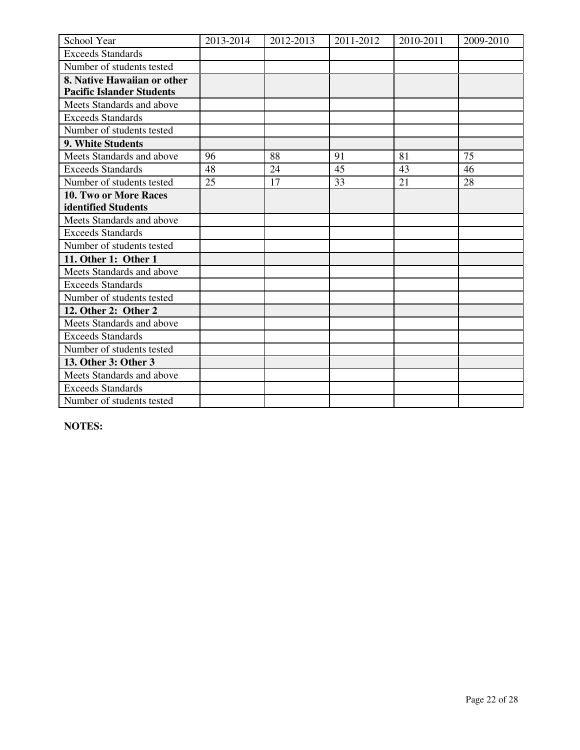| School Year                      | 2013-2014 | 2012-2013 | 2011-2012 | 2010-2011 | 2009-2010 |
|----------------------------------|-----------|-----------|-----------|-----------|-----------|
| <b>Exceeds Standards</b>         |           |           |           |           |           |
| Number of students tested        |           |           |           |           |           |
| 8. Native Hawaiian or other      |           |           |           |           |           |
| <b>Pacific Islander Students</b> |           |           |           |           |           |
| Meets Standards and above        |           |           |           |           |           |
| <b>Exceeds Standards</b>         |           |           |           |           |           |
| Number of students tested        |           |           |           |           |           |
| <b>9. White Students</b>         |           |           |           |           |           |
| Meets Standards and above        | 96        | 88        | 91        | 81        | 75        |
| <b>Exceeds Standards</b>         | 48        | 24        | 45        | 43        | 46        |
| Number of students tested        | 25        | 17        | 33        | 21        | 28        |
| <b>10. Two or More Races</b>     |           |           |           |           |           |
| identified Students              |           |           |           |           |           |
| Meets Standards and above        |           |           |           |           |           |
| <b>Exceeds Standards</b>         |           |           |           |           |           |
| Number of students tested        |           |           |           |           |           |
| 11. Other 1: Other 1             |           |           |           |           |           |
| Meets Standards and above        |           |           |           |           |           |
| <b>Exceeds Standards</b>         |           |           |           |           |           |
| Number of students tested        |           |           |           |           |           |
| 12. Other 2: Other 2             |           |           |           |           |           |
| Meets Standards and above        |           |           |           |           |           |
| <b>Exceeds Standards</b>         |           |           |           |           |           |
| Number of students tested        |           |           |           |           |           |
| 13. Other 3: Other 3             |           |           |           |           |           |
| Meets Standards and above        |           |           |           |           |           |
| <b>Exceeds Standards</b>         |           |           |           |           |           |
| Number of students tested        |           |           |           |           |           |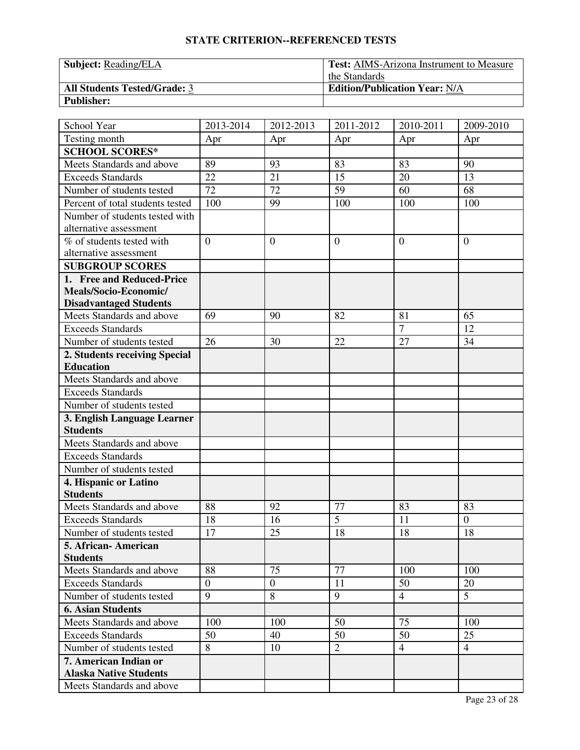| <b>Subject:</b> Reading/ELA         | <b>Test:</b> AIMS-Arizona Instrument to Measure |  |  |
|-------------------------------------|-------------------------------------------------|--|--|
|                                     | the Standards                                   |  |  |
| <b>All Students Tested/Grade: 3</b> | <b>Edition/Publication Year: N/A</b>            |  |  |
| <b>Publisher:</b>                   |                                                 |  |  |

| School Year                      | 2013-2014    | 2012-2013    | 2011-2012      | 2010-2011      | 2009-2010        |
|----------------------------------|--------------|--------------|----------------|----------------|------------------|
| Testing month                    | Apr          | Apr          | Apr            | Apr            | Apr              |
| <b>SCHOOL SCORES*</b>            |              |              |                |                |                  |
| Meets Standards and above        | 89           | 93           | 83             | 83             | 90               |
| <b>Exceeds Standards</b>         | 22           | 21           | 15             | 20             | 13               |
| Number of students tested        | 72           | 72           | 59             | 60             | 68               |
| Percent of total students tested | 100          | 99           | 100            | 100            | 100              |
| Number of students tested with   |              |              |                |                |                  |
| alternative assessment           |              |              |                |                |                  |
| % of students tested with        | $\mathbf{0}$ | $\theta$     | $\overline{0}$ | $\overline{0}$ | $\mathbf{0}$     |
| alternative assessment           |              |              |                |                |                  |
| <b>SUBGROUP SCORES</b>           |              |              |                |                |                  |
| 1. Free and Reduced-Price        |              |              |                |                |                  |
| Meals/Socio-Economic/            |              |              |                |                |                  |
| <b>Disadvantaged Students</b>    |              |              |                |                |                  |
| Meets Standards and above        | 69           | 90           | 82             | 81             | 65               |
| <b>Exceeds Standards</b>         |              |              |                | $\overline{7}$ | 12               |
| Number of students tested        | 26           | 30           | 22             | 27             | 34               |
| 2. Students receiving Special    |              |              |                |                |                  |
| <b>Education</b>                 |              |              |                |                |                  |
| Meets Standards and above        |              |              |                |                |                  |
| <b>Exceeds Standards</b>         |              |              |                |                |                  |
| Number of students tested        |              |              |                |                |                  |
| 3. English Language Learner      |              |              |                |                |                  |
| <b>Students</b>                  |              |              |                |                |                  |
| Meets Standards and above        |              |              |                |                |                  |
| <b>Exceeds Standards</b>         |              |              |                |                |                  |
| Number of students tested        |              |              |                |                |                  |
| 4. Hispanic or Latino            |              |              |                |                |                  |
| <b>Students</b>                  |              |              |                |                |                  |
| Meets Standards and above        | 88           | 92           | 77             | 83             | 83               |
| <b>Exceeds Standards</b>         | 18           | 16           | $\overline{5}$ | 11             | $\boldsymbol{0}$ |
| Number of students tested        | 17           | 25           | 18             | 18             | 18               |
| 5. African-American              |              |              |                |                |                  |
| <b>Students</b>                  |              |              |                |                |                  |
| Meets Standards and above        | 88           | 75           | 77             | 100            | 100              |
| <b>Exceeds Standards</b>         | $\theta$     | $\mathbf{0}$ | 11             | 50             | 20               |
| Number of students tested        | 9            | 8            | 9              | $\overline{4}$ | 5 <sup>5</sup>   |
| <b>6. Asian Students</b>         |              |              |                |                |                  |
| Meets Standards and above        | 100          | 100          | 50             | 75             | 100              |
| <b>Exceeds Standards</b>         | 50           | 40           | 50             | 50             | 25               |
| Number of students tested        | 8            | 10           | $\overline{2}$ | $\overline{4}$ | $\overline{4}$   |
| 7. American Indian or            |              |              |                |                |                  |
| <b>Alaska Native Students</b>    |              |              |                |                |                  |
| Meets Standards and above        |              |              |                |                |                  |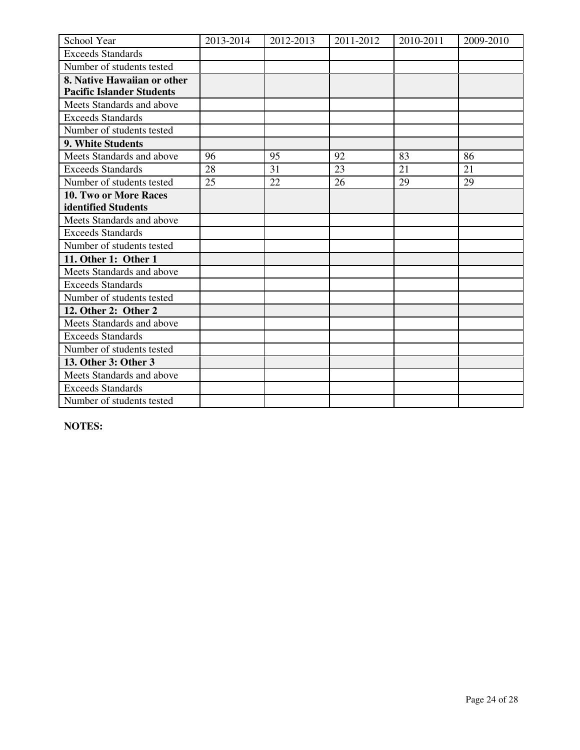| School Year                      | 2013-2014 | 2012-2013 | 2011-2012 | 2010-2011 | 2009-2010 |
|----------------------------------|-----------|-----------|-----------|-----------|-----------|
| <b>Exceeds Standards</b>         |           |           |           |           |           |
| Number of students tested        |           |           |           |           |           |
| 8. Native Hawaiian or other      |           |           |           |           |           |
| <b>Pacific Islander Students</b> |           |           |           |           |           |
| Meets Standards and above        |           |           |           |           |           |
| <b>Exceeds Standards</b>         |           |           |           |           |           |
| Number of students tested        |           |           |           |           |           |
| <b>9. White Students</b>         |           |           |           |           |           |
| Meets Standards and above        | 96        | 95        | 92        | 83        | 86        |
| <b>Exceeds Standards</b>         | 28        | 31        | 23        | 21        | 21        |
| Number of students tested        | 25        | 22        | 26        | 29        | 29        |
| <b>10. Two or More Races</b>     |           |           |           |           |           |
| identified Students              |           |           |           |           |           |
| Meets Standards and above        |           |           |           |           |           |
| <b>Exceeds Standards</b>         |           |           |           |           |           |
| Number of students tested        |           |           |           |           |           |
| 11. Other 1: Other 1             |           |           |           |           |           |
| Meets Standards and above        |           |           |           |           |           |
| <b>Exceeds Standards</b>         |           |           |           |           |           |
| Number of students tested        |           |           |           |           |           |
| 12. Other 2: Other 2             |           |           |           |           |           |
| Meets Standards and above        |           |           |           |           |           |
| <b>Exceeds Standards</b>         |           |           |           |           |           |
| Number of students tested        |           |           |           |           |           |
| 13. Other 3: Other 3             |           |           |           |           |           |
| Meets Standards and above        |           |           |           |           |           |
| <b>Exceeds Standards</b>         |           |           |           |           |           |
| Number of students tested        |           |           |           |           |           |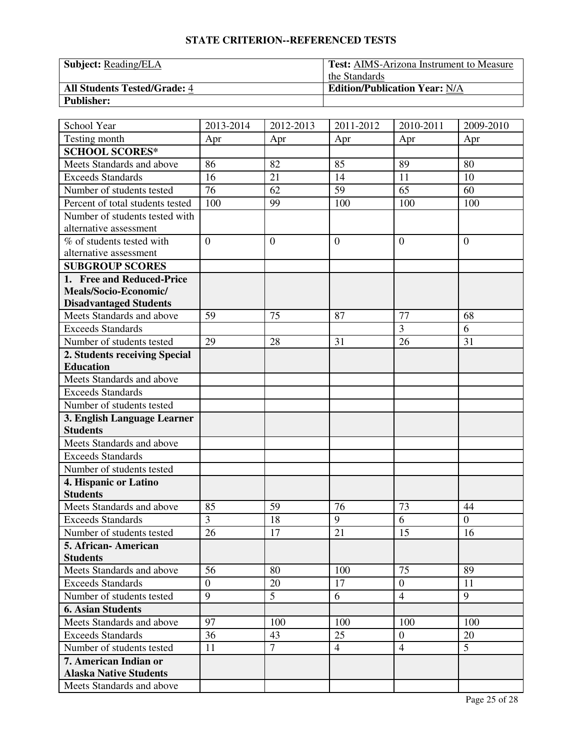| <b>Subject:</b> Reading/ELA         | <b>Test:</b> AIMS-Arizona Instrument to Measure |  |  |
|-------------------------------------|-------------------------------------------------|--|--|
|                                     | the Standards                                   |  |  |
| <b>All Students Tested/Grade: 4</b> | <b>Edition/Publication Year: N/A</b>            |  |  |
| <b>Publisher:</b>                   |                                                 |  |  |

| School Year                      | 2013-2014    | 2012-2013      | 2011-2012      | 2010-2011      | 2009-2010      |
|----------------------------------|--------------|----------------|----------------|----------------|----------------|
| Testing month                    | Apr          | Apr            | Apr            | Apr            | Apr            |
| <b>SCHOOL SCORES*</b>            |              |                |                |                |                |
| Meets Standards and above        | 86           | 82             | 85             | 89             | 80             |
| <b>Exceeds Standards</b>         | 16           | 21             | 14             | 11             | 10             |
| Number of students tested        | 76           | 62             | 59             | 65             | 60             |
| Percent of total students tested | 100          | 99             | 100            | 100            | 100            |
| Number of students tested with   |              |                |                |                |                |
| alternative assessment           |              |                |                |                |                |
| % of students tested with        | $\mathbf{0}$ | $\theta$       | $\overline{0}$ | $\overline{0}$ | $\mathbf{0}$   |
| alternative assessment           |              |                |                |                |                |
| <b>SUBGROUP SCORES</b>           |              |                |                |                |                |
| 1. Free and Reduced-Price        |              |                |                |                |                |
| Meals/Socio-Economic/            |              |                |                |                |                |
| <b>Disadvantaged Students</b>    |              |                |                |                |                |
| Meets Standards and above        | 59           | 75             | 87             | 77             | 68             |
| <b>Exceeds Standards</b>         |              |                |                | $\overline{3}$ | 6              |
| Number of students tested        | 29           | 28             | 31             | 26             | 31             |
| 2. Students receiving Special    |              |                |                |                |                |
| <b>Education</b>                 |              |                |                |                |                |
| Meets Standards and above        |              |                |                |                |                |
| <b>Exceeds Standards</b>         |              |                |                |                |                |
| Number of students tested        |              |                |                |                |                |
| 3. English Language Learner      |              |                |                |                |                |
| <b>Students</b>                  |              |                |                |                |                |
| Meets Standards and above        |              |                |                |                |                |
| <b>Exceeds Standards</b>         |              |                |                |                |                |
| Number of students tested        |              |                |                |                |                |
| 4. Hispanic or Latino            |              |                |                |                |                |
| <b>Students</b>                  |              |                |                |                |                |
| Meets Standards and above        | 85           | 59             | 76             | 73             | 44             |
| <b>Exceeds Standards</b>         | 3            | 18             | 9              | 6              | $\overline{0}$ |
| Number of students tested        | 26           | 17             | 21             | 15             | 16             |
| 5. African-American              |              |                |                |                |                |
| <b>Students</b>                  |              |                |                |                |                |
| Meets Standards and above        | 56           | 80             | 100            | 75             | 89             |
| <b>Exceeds Standards</b>         | $\theta$     | 20             | 17             | $\overline{0}$ | 11             |
| Number of students tested        | 9            | 5              | 6              | $\overline{4}$ | 9              |
| <b>6. Asian Students</b>         |              |                |                |                |                |
| Meets Standards and above        | 97           | 100            | 100            | 100            | 100            |
| <b>Exceeds Standards</b>         | 36           | 43             | 25             | $\overline{0}$ | 20             |
| Number of students tested        | 11           | $\overline{7}$ | $\overline{4}$ | $\overline{4}$ | 5 <sup>5</sup> |
| 7. American Indian or            |              |                |                |                |                |
| <b>Alaska Native Students</b>    |              |                |                |                |                |
| Meets Standards and above        |              |                |                |                |                |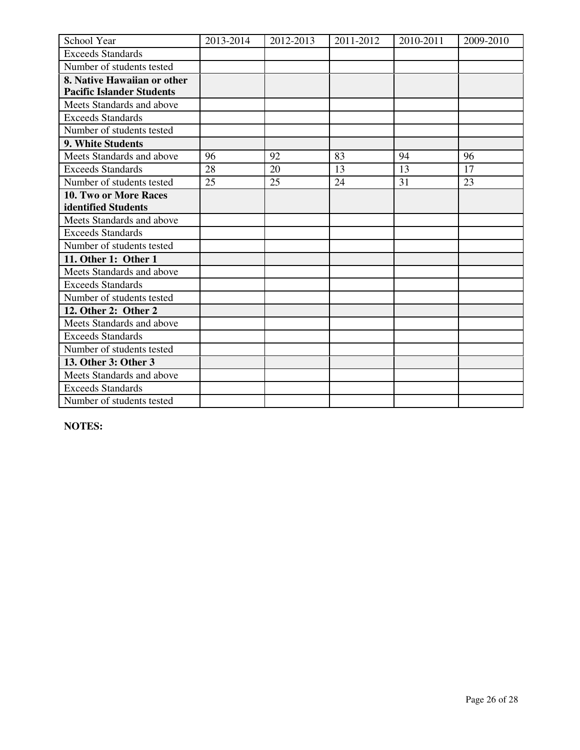| School Year                      | 2013-2014 | 2012-2013 | 2011-2012 | 2010-2011 | 2009-2010 |
|----------------------------------|-----------|-----------|-----------|-----------|-----------|
| <b>Exceeds Standards</b>         |           |           |           |           |           |
| Number of students tested        |           |           |           |           |           |
| 8. Native Hawaiian or other      |           |           |           |           |           |
| <b>Pacific Islander Students</b> |           |           |           |           |           |
| Meets Standards and above        |           |           |           |           |           |
| <b>Exceeds Standards</b>         |           |           |           |           |           |
| Number of students tested        |           |           |           |           |           |
| 9. White Students                |           |           |           |           |           |
| Meets Standards and above        | 96        | 92        | 83        | 94        | 96        |
| <b>Exceeds Standards</b>         | 28        | 20        | 13        | 13        | 17        |
| Number of students tested        | 25        | 25        | 24        | 31        | 23        |
| <b>10. Two or More Races</b>     |           |           |           |           |           |
| identified Students              |           |           |           |           |           |
| Meets Standards and above        |           |           |           |           |           |
| <b>Exceeds Standards</b>         |           |           |           |           |           |
| Number of students tested        |           |           |           |           |           |
| 11. Other 1: Other 1             |           |           |           |           |           |
| Meets Standards and above        |           |           |           |           |           |
| <b>Exceeds Standards</b>         |           |           |           |           |           |
| Number of students tested        |           |           |           |           |           |
| 12. Other 2: Other 2             |           |           |           |           |           |
| Meets Standards and above        |           |           |           |           |           |
| <b>Exceeds Standards</b>         |           |           |           |           |           |
| Number of students tested        |           |           |           |           |           |
| 13. Other 3: Other 3             |           |           |           |           |           |
| Meets Standards and above        |           |           |           |           |           |
| <b>Exceeds Standards</b>         |           |           |           |           |           |
| Number of students tested        |           |           |           |           |           |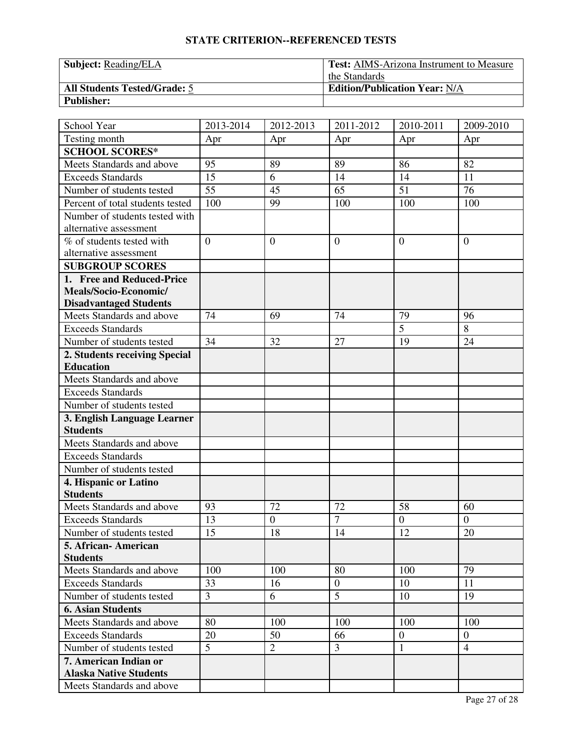| <b>Subject:</b> Reading/ELA         | <b>Test:</b> AIMS-Arizona Instrument to Measure |  |  |
|-------------------------------------|-------------------------------------------------|--|--|
|                                     | the Standards                                   |  |  |
| <b>All Students Tested/Grade: 5</b> | <b>Edition/Publication Year: N/A</b>            |  |  |
| <b>Publisher:</b>                   |                                                 |  |  |

| School Year                      | 2013-2014      | 2012-2013      | 2011-2012        | 2010-2011      | 2009-2010      |
|----------------------------------|----------------|----------------|------------------|----------------|----------------|
| Testing month                    | Apr            | Apr            | Apr              | Apr            | Apr            |
| <b>SCHOOL SCORES*</b>            |                |                |                  |                |                |
| Meets Standards and above        | 95             | 89             | 89               | 86             | 82             |
| <b>Exceeds Standards</b>         | 15             | 6              | 14               | 14             | 11             |
| Number of students tested        | 55             | 45             | 65               | 51             | 76             |
| Percent of total students tested | 100            | 99             | 100              | 100            | 100            |
| Number of students tested with   |                |                |                  |                |                |
| alternative assessment           |                |                |                  |                |                |
| % of students tested with        | $\overline{0}$ | $\overline{0}$ | $\overline{0}$   | $\theta$       | $\overline{0}$ |
| alternative assessment           |                |                |                  |                |                |
| <b>SUBGROUP SCORES</b>           |                |                |                  |                |                |
| 1. Free and Reduced-Price        |                |                |                  |                |                |
| Meals/Socio-Economic/            |                |                |                  |                |                |
| <b>Disadvantaged Students</b>    |                |                |                  |                |                |
| Meets Standards and above        | 74             | 69             | 74               | 79             | 96             |
| <b>Exceeds Standards</b>         |                |                |                  | $\overline{5}$ | 8              |
| Number of students tested        | 34             | 32             | 27               | 19             | 24             |
| 2. Students receiving Special    |                |                |                  |                |                |
| <b>Education</b>                 |                |                |                  |                |                |
| Meets Standards and above        |                |                |                  |                |                |
| <b>Exceeds Standards</b>         |                |                |                  |                |                |
| Number of students tested        |                |                |                  |                |                |
| 3. English Language Learner      |                |                |                  |                |                |
| <b>Students</b>                  |                |                |                  |                |                |
| Meets Standards and above        |                |                |                  |                |                |
| <b>Exceeds Standards</b>         |                |                |                  |                |                |
| Number of students tested        |                |                |                  |                |                |
| 4. Hispanic or Latino            |                |                |                  |                |                |
| <b>Students</b>                  |                |                |                  |                |                |
| Meets Standards and above        | 93             | 72             | 72               | 58             | 60             |
| <b>Exceeds Standards</b>         | 13             | $\overline{0}$ | $\overline{7}$   | $\overline{0}$ | $\overline{0}$ |
| Number of students tested        | 15             | 18             | 14               | 12             | 20             |
| 5. African- American             |                |                |                  |                |                |
| <b>Students</b>                  |                |                |                  |                |                |
| Meets Standards and above        | 100            | 100            | 80               | 100            | 79             |
| <b>Exceeds Standards</b>         | 33             | 16             | $\boldsymbol{0}$ | 10             | 11             |
| Number of students tested        | $\overline{3}$ | 6              | 5                | 10             | 19             |
| <b>6. Asian Students</b>         |                |                |                  |                |                |
| Meets Standards and above        | 80             | 100            | 100              | 100            | 100            |
| <b>Exceeds Standards</b>         | 20             | 50             | 66               | $\overline{0}$ | $\mathbf{0}$   |
| Number of students tested        | 5              | $\overline{2}$ | 3                | $\mathbf{1}$   | $\overline{4}$ |
| 7. American Indian or            |                |                |                  |                |                |
| <b>Alaska Native Students</b>    |                |                |                  |                |                |
| Meets Standards and above        |                |                |                  |                |                |